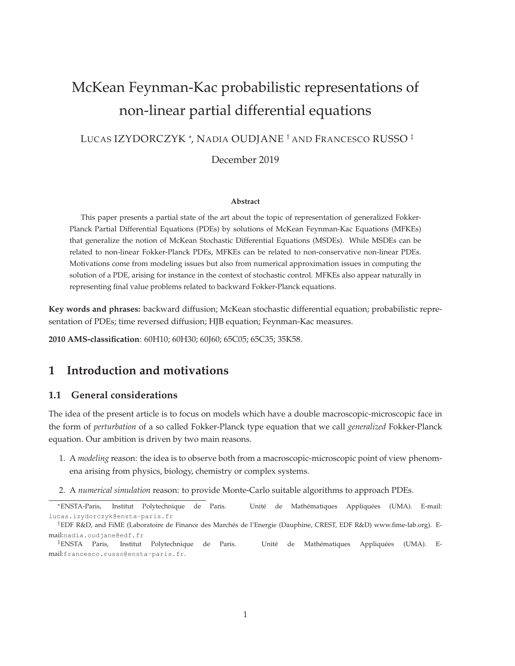# McKean Feynman-Kac probabilistic representations of non-linear partial differential equations

LUCAS IZYDORCZYK <sup>∗</sup> , NADIA OUDJANE † AND FRANCESCO RUSSO ‡

December 2019

#### **Abstract**

This paper presents a partial state of the art about the topic of representation of generalized Fokker-Planck Partial Differential Equations (PDEs) by solutions of McKean Feynman-Kac Equations (MFKEs) that generalize the notion of McKean Stochastic Differential Equations (MSDEs). While MSDEs can be related to non-linear Fokker-Planck PDEs, MFKEs can be related to non-conservative non-linear PDEs. Motivations come from modeling issues but also from numerical approximation issues in computing the solution of a PDE, arising for instance in the context of stochastic control. MFKEs also appear naturally in representing final value problems related to backward Fokker-Planck equations.

**Key words and phrases:** backward diffusion; McKean stochastic differential equation; probabilistic representation of PDEs; time reversed diffusion; HJB equation; Feynman-Kac measures.

**2010 AMS-classification**: 60H10; 60H30; 60J60; 65C05; 65C35; 35K58.

## **1 Introduction and motivations**

#### **1.1 General considerations**

The idea of the present article is to focus on models which have a double macroscopic-microscopic face in the form of *perturbation* of a so called Fokker-Planck type equation that we call *generalized* Fokker-Planck equation. Our ambition is driven by two main reasons.

- 1. A *modeling* reason: the idea is to observe both from a macroscopic-microscopic point of view phenomena arising from physics, biology, chemistry or complex systems.
- 2. A *numerical simulation* reason: to provide Monte-Carlo suitable algorithms to approach PDEs.

<sup>∗</sup>ENSTA-Paris, Institut Polytechnique de Paris. Unité de Mathématiques Appliquées (UMA). E-mail: lucas.izydorczyk@ensta-paris.fr

<sup>†</sup>EDF R&D, and FiME (Laboratoire de Finance des Marchés de l'Energie (Dauphine, CREST, EDF R&D) www.fime-lab.org). Email:nadia.oudjane@edf.fr

<sup>‡</sup>ENSTA Paris, Institut Polytechnique de Paris. Unité de Mathématiques Appliquées (UMA). Email:francesco.russo@ensta-paris.fr.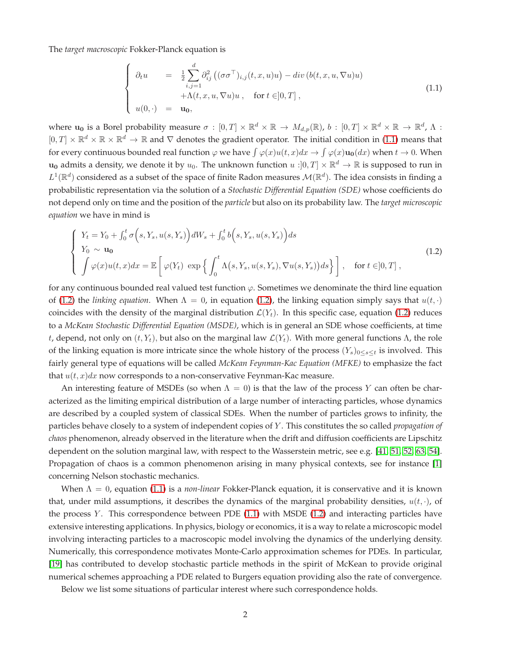The *target macroscopic* Fokker-Planck equation is

<span id="page-1-0"></span>
$$
\begin{cases}\n\partial_t u = \frac{1}{2} \sum_{i,j=1}^d \partial_{ij}^2 \left( (\sigma \sigma^\top)_{i,j}(t,x,u)u \right) - div \left( b(t,x,u,\nabla u)u \right) \\
+ \Lambda(t,x,u,\nabla u)u, \quad \text{for } t \in ]0,T], \\
u(0,\cdot) = \mathbf{u}_0,\n\end{cases}
$$
\n(1.1)

where  $\mathbf{u_0}$  is a Borel probability measure  $\sigma : [0,T] \times \mathbb{R}^d \times \mathbb{R} \to M_{d,p}(\mathbb{R})$ ,  $b : [0,T] \times \mathbb{R}^d \times \mathbb{R} \to \mathbb{R}^d$ ,  $\Lambda$ :  $[0,T] \times \mathbb{R}^d \times \mathbb{R} \times \mathbb{R}^d \to \mathbb{R}$  and  $\nabla$  denotes the gradient operator. The initial condition in [\(1.1\)](#page-1-0) means that for every continuous bounded real function  $\varphi$  we have  $\int \varphi(x)u(t,x)dx \to \int \varphi(x)u_0(dx)$  when  $t \to 0$ . When  $\mathbf{u_0}$  admits a density, we denote it by  $u_0$ . The unknown function  $u:]0,T]\times\mathbb{R}^d\to\mathbb{R}$  is supposed to run in  $L^1(\mathbb{R}^d)$  considered as a subset of the space of finite Radon measures  $\mathcal{M}(\mathbb{R}^d)$ . The idea consists in finding a probabilistic representation via the solution of a *Stochastic Differential Equation (SDE)* whose coefficients do not depend only on time and the position of the *particle* but also on its probability law. The *target microscopic equation* we have in mind is

<span id="page-1-1"></span>
$$
\begin{cases}\nY_t = Y_0 + \int_0^t \sigma(s, Y_s, u(s, Y_s)) dW_s + \int_0^t b(s, Y_s, u(s, Y_s)) ds \\
Y_0 \sim \mathbf{u}_0 \\
\int \varphi(x) u(t, x) dx = \mathbb{E} \left[ \varphi(Y_t) \exp \left\{ \int_0^t \Lambda(s, Y_s, u(s, Y_s), \nabla u(s, Y_s)) ds \right\} \right], \quad \text{for } t \in ]0, T],\n\end{cases}
$$
\n(1.2)

for any continuous bounded real valued test function  $\varphi$ . Sometimes we denominate the third line equation of [\(1.2\)](#page-1-1) the *linking equation*. When  $\Lambda = 0$ , in equation (1.2), the linking equation simply says that  $u(t, \cdot)$ coincides with the density of the marginal distribution  $\mathcal{L}(Y_t)$ . In this specific case, equation [\(1.2\)](#page-1-1) reduces to a *McKean Stochastic Differential Equation (MSDE)*, which is in general an SDE whose coefficients, at time t, depend, not only on  $(t, Y_t)$ , but also on the marginal law  $\mathcal{L}(Y_t)$ . With more general functions  $\Lambda$ , the role of the linking equation is more intricate since the whole history of the process  $(Y_s)_{0\leq s\leq t}$  is involved. This fairly general type of equations will be called *McKean Feynman-Kac Equation (MFKE)* to emphasize the fact that  $u(t, x)dx$  now corresponds to a non-conservative Feynman-Kac measure.

An interesting feature of MSDEs (so when  $\Lambda = 0$ ) is that the law of the process Y can often be characterized as the limiting empirical distribution of a large number of interacting particles, whose dynamics are described by a coupled system of classical SDEs. When the number of particles grows to infinity, the particles behave closely to a system of independent copies of Y . This constitutes the so called *propagation of chaos* phenomenon, already observed in the literature when the drift and diffusion coefficients are Lipschitz dependent on the solution marginal law, with respect to the Wasserstein metric, see e.g. [\[41,](#page-20-0) [51,](#page-20-1) [52,](#page-21-0) [63,](#page-21-1) [54\]](#page-21-2). Propagation of chaos is a common phenomenon arising in many physical contexts, see for instance [\[1\]](#page-17-0) concerning Nelson stochastic mechanics.

When  $\Lambda = 0$ , equation [\(1.1\)](#page-1-0) is a *non-linear* Fokker-Planck equation, it is conservative and it is known that, under mild assumptions, it describes the dynamics of the marginal probability densities,  $u(t, \cdot)$ , of the process Y. This correspondence between PDE  $(1.1)$  with MSDE  $(1.2)$  and interacting particles have extensive interesting applications. In physics, biology or economics, it is a way to relate a microscopic model involving interacting particles to a macroscopic model involving the dynamics of the underlying density. Numerically, this correspondence motivates Monte-Carlo approximation schemes for PDEs. In particular, [\[19\]](#page-18-0) has contributed to develop stochastic particle methods in the spirit of McKean to provide original numerical schemes approaching a PDE related to Burgers equation providing also the rate of convergence.

Below we list some situations of particular interest where such correspondence holds.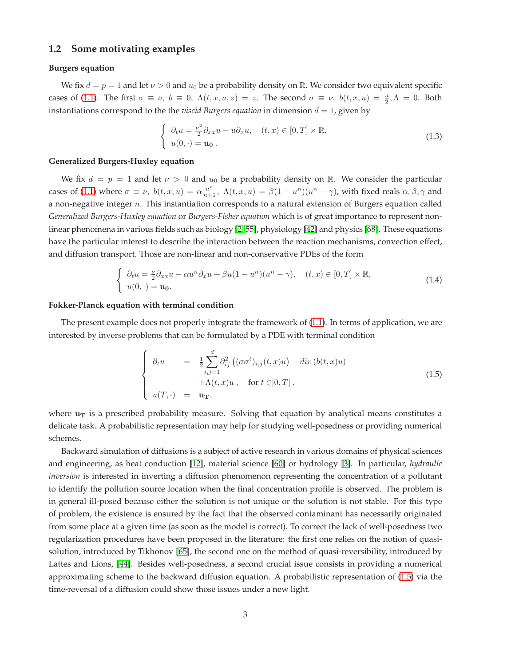#### **1.2 Some motivating examples**

#### **Burgers equation**

We fix  $d = p = 1$  and let  $\nu > 0$  and  $u_0$  be a probability density on R. We consider two equivalent specific cases of [\(1.1\)](#page-1-0). The first  $\sigma \equiv \nu$ ,  $b \equiv 0$ ,  $\Lambda(t, x, u, z) = z$ . The second  $\sigma \equiv \nu$ ,  $b(t, x, u) = \frac{u}{2}, \Lambda = 0$ . Both instantiations correspond to the the *viscid Burgers equation* in dimension  $d = 1$ , given by

$$
\begin{cases} \partial_t u = \frac{\nu^2}{2} \partial_{xx} u - u \partial_x u, & (t, x) \in [0, T] \times \mathbb{R}, \\ u(0, \cdot) = \mathbf{u_0}. \end{cases}
$$
 (1.3)

#### **Generalized Burgers-Huxley equation**

We fix  $d = p = 1$  and let  $\nu > 0$  and  $u_0$  be a probability density on R. We consider the particular cases of [\(1.1\)](#page-1-0) where  $\sigma \equiv \nu$ ,  $b(t, x, u) = \alpha \frac{u^n}{n+1}$ ,  $\Lambda(t, x, u) = \beta(1 - u^n)(u^n - \gamma)$ , with fixed reals  $\alpha, \beta, \gamma$  and a non-negative integer n. This instantiation corresponds to a natural extension of Burgers equation called *Generalized Burgers-Huxley equation* or *Burgers-Fisher equation* which is of great importance to represent nonlinear phenomena in various fields such as biology [\[2,](#page-17-1) [55\]](#page-21-3), physiology [\[42\]](#page-20-2) and physics [\[68\]](#page-21-4). These equations have the particular interest to describe the interaction between the reaction mechanisms, convection effect, and diffusion transport. Those are non-linear and non-conservative PDEs of the form

<span id="page-2-1"></span>
$$
\begin{cases}\n\partial_t u = \frac{\nu}{2} \partial_{xx} u - \alpha u^n \partial_x u + \beta u (1 - u^n) (u^n - \gamma), & (t, x) \in [0, T] \times \mathbb{R}, \\
u(0, \cdot) = \mathbf{u_0}.\n\end{cases}
$$
\n(1.4)

#### **Fokker-Planck equation with terminal condition**

The present example does not properly integrate the framework of [\(1.1\)](#page-1-0). In terms of application, we are interested by inverse problems that can be formulated by a PDE with terminal condition

<span id="page-2-0"></span>
$$
\begin{cases}\n\partial_t u = \frac{1}{2} \sum_{i,j=1}^d \partial_{ij}^2 \left( (\sigma \sigma^t)_{i,j}(t,x) u \right) - \operatorname{div} \left( b(t,x) u \right) \\
+ \Lambda(t,x) u, \quad \text{for } t \in ]0,T[\,, \\
u(T,\cdot) = \mathbf{u}_T,\n\end{cases}
$$
\n(1.5)

where  $u_T$  is a prescribed probability measure. Solving that equation by analytical means constitutes a delicate task. A probabilistic representation may help for studying well-posedness or providing numerical schemes.

Backward simulation of diffusions is a subject of active research in various domains of physical sciences and engineering, as heat conduction [\[12\]](#page-18-1), material science [\[60\]](#page-21-5) or hydrology [\[3\]](#page-18-2). In particular, *hydraulic inversion* is interested in inverting a diffusion phenomenon representing the concentration of a pollutant to identify the pollution source location when the final concentration profile is observed. The problem is in general ill-posed because either the solution is not unique or the solution is not stable. For this type of problem, the existence is ensured by the fact that the observed contaminant has necessarily originated from some place at a given time (as soon as the model is correct). To correct the lack of well-posedness two regularization procedures have been proposed in the literature: the first one relies on the notion of quasisolution, introduced by Tikhonov [\[65\]](#page-21-6), the second one on the method of quasi-reversibility, introduced by Lattes and Lions, [\[44\]](#page-20-3). Besides well-posedness, a second crucial issue consists in providing a numerical approximating scheme to the backward diffusion equation. A probabilistic representation of [\(1.5\)](#page-2-0) via the time-reversal of a diffusion could show those issues under a new light.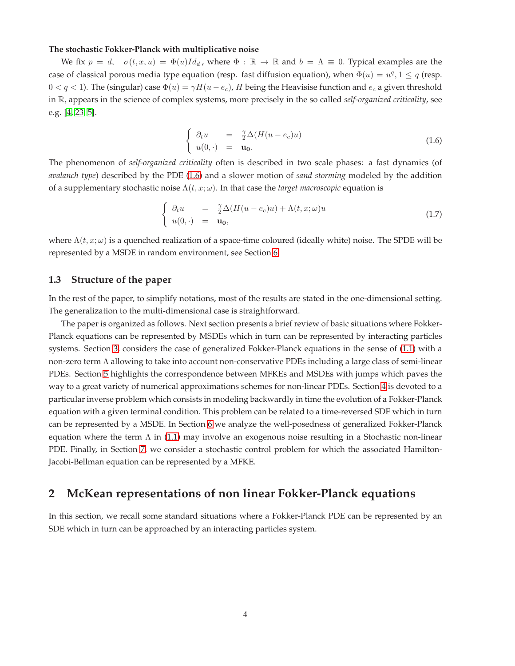#### **The stochastic Fokker-Planck with multiplicative noise**

We fix  $p = d$ ,  $\sigma(t, x, u) = \Phi(u)Id_d$ , where  $\Phi : \mathbb{R} \to \mathbb{R}$  and  $b = \Lambda \equiv 0$ . Typical examples are the case of classical porous media type equation (resp. fast diffusion equation), when  $\Phi(u) = u^q, 1 \le q$  (resp.  $0 < q < 1$ ). The (singular) case  $\Phi(u) = \gamma H(u - e_c)$ , H being the Heavisise function and  $e_c$  a given threshold in R, appears in the science of complex systems, more precisely in the so called *self-organized criticality*, see e.g. [\[4,](#page-18-3) [23,](#page-19-0) [5\]](#page-18-4).

<span id="page-3-0"></span>
$$
\begin{cases}\n\partial_t u = \frac{\gamma}{2} \Delta (H(u - e_c)u) \\
u(0, \cdot) = \mathbf{u_0}.\n\end{cases}
$$
\n(1.6)

The phenomenon of *self-organized criticality* often is described in two scale phases: a fast dynamics (of *avalanch type*) described by the PDE [\(1.6\)](#page-3-0) and a slower motion of *sand storming* modeled by the addition of a supplementary stochastic noise  $\Lambda(t, x; \omega)$ . In that case the *target macroscopic* equation is

$$
\begin{cases}\n\partial_t u = \frac{\gamma}{2} \Delta (H(u - e_c)u) + \Lambda(t, x; \omega)u \\
u(0, \cdot) = \mathbf{u_0},\n\end{cases}
$$
\n(1.7)

where  $\Lambda(t, x; \omega)$  is a quenched realization of a space-time coloured (ideally white) noise. The SPDE will be represented by a MSDE in random environment, see Section [6.](#page-13-0)

#### **1.3 Structure of the paper**

In the rest of the paper, to simplify notations, most of the results are stated in the one-dimensional setting. The generalization to the multi-dimensional case is straightforward.

The paper is organized as follows. Next section presents a brief review of basic situations where Fokker-Planck equations can be represented by MSDEs which in turn can be represented by interacting particles systems. Section [3,](#page-6-0) considers the case of generalized Fokker-Planck equations in the sense of [\(1.1\)](#page-1-0) with a non-zero term Λ allowing to take into account non-conservative PDEs including a large class of semi-linear PDEs. Section [5](#page-11-0) highlights the correspondence between MFKEs and MSDEs with jumps which paves the way to a great variety of numerical approximations schemes for non-linear PDEs. Section [4](#page-9-0) is devoted to a particular inverse problem which consists in modeling backwardly in time the evolution of a Fokker-Planck equation with a given terminal condition. This problem can be related to a time-reversed SDE which in turn can be represented by a MSDE. In Section [6](#page-13-0) we analyze the well-posedness of generalized Fokker-Planck equation where the term  $\Lambda$  in [\(1.1\)](#page-1-0) may involve an exogenous noise resulting in a Stochastic non-linear PDE. Finally, in Section [7,](#page-14-0) we consider a stochastic control problem for which the associated Hamilton-Jacobi-Bellman equation can be represented by a MFKE.

## **2 McKean representations of non linear Fokker-Planck equations**

In this section, we recall some standard situations where a Fokker-Planck PDE can be represented by an SDE which in turn can be approached by an interacting particles system.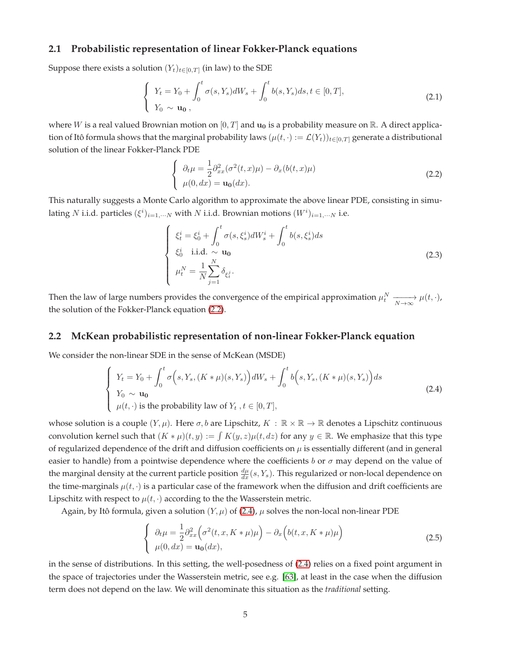#### **2.1 Probabilistic representation of linear Fokker-Planck equations**

Suppose there exists a solution  $(Y_t)_{t \in [0,T]}$  (in law) to the SDE

$$
\begin{cases}\nY_t = Y_0 + \int_0^t \sigma(s, Y_s) dW_s + \int_0^t b(s, Y_s) ds, t \in [0, T], \\
Y_0 \sim \mathbf{u_0},\n\end{cases}
$$
\n(2.1)

where W is a real valued Brownian motion on  $[0, T]$  and  $\mathbf{u_0}$  is a probability measure on  $\mathbb{R}$ . A direct application of Itô formula shows that the marginal probability laws ( $\mu(t, \cdot) := \mathcal{L}(Y_t)_{t \in [0,T]}$  generate a distributional solution of the linear Fokker-Planck PDE

<span id="page-4-0"></span>
$$
\begin{cases}\n\partial_t \mu = \frac{1}{2} \partial_{xx}^2 (\sigma^2(t, x)\mu) - \partial_x (b(t, x)\mu) \\
\mu(0, dx) = \mathbf{u_0}(dx).\n\end{cases}
$$
\n(2.2)

This naturally suggests a Monte Carlo algorithm to approximate the above linear PDE, consisting in simulating N i.i.d. particles  $(\xi^i)_{i=1,\cdots N}$  with N i.i.d. Brownian motions  $(W^i)_{i=1,\cdots N}$  i.e.

$$
\begin{cases}\n\xi_t^i = \xi_0^i + \int_0^t \sigma(s, \xi_s^i) dW_s^i + \int_0^t b(s, \xi_s^i) ds \\
\xi_0^i \quad \text{i.i.d.} \sim \mathbf{u_0} \\
\mu_t^N = \frac{1}{N} \sum_{j=1}^N \delta_{\xi_t^j}.\n\end{cases}
$$
\n(2.3)

Then the law of large numbers provides the convergence of the empirical approximation  $\mu_t^N \xrightarrow[N \to \infty]{} \mu(t, \cdot)$ , the solution of the Fokker-Planck equation [\(2.2\)](#page-4-0).

#### **2.2 McKean probabilistic representation of non-linear Fokker-Planck equation**

We consider the non-linear SDE in the sense of McKean (MSDE)

<span id="page-4-1"></span>
$$
\begin{cases}\nY_t = Y_0 + \int_0^t \sigma\Big(s, Y_s, (K*\mu)(s, Y_s)\Big)dW_s + \int_0^t b\Big(s, Y_s, (K*\mu)(s, Y_s)\Big)ds \\
Y_0 \sim \mathbf{u}_0 \\
\mu(t, \cdot) \text{ is the probability law of } Y_t, t \in [0, T],\n\end{cases}
$$
\n(2.4)

whose solution is a couple  $(Y, \mu)$ . Here  $\sigma$ , b are Lipschitz,  $K : \mathbb{R} \times \mathbb{R} \to \mathbb{R}$  denotes a Lipschitz continuous convolution kernel such that  $(K * \mu)(t, y) := \int K(y, z) \mu(t, dz)$  for any  $y \in \mathbb{R}$ . We emphasize that this type of regularized dependence of the drift and diffusion coefficients on  $\mu$  is essentially different (and in general easier to handle) from a pointwise dependence where the coefficients b or  $\sigma$  may depend on the value of the marginal density at the current particle position  $\frac{d\mu}{dx}(s,Y_s)$ . This regularized or non-local dependence on the time-marginals  $\mu(t, \cdot)$  is a particular case of the framework when the diffusion and drift coefficients are Lipschitz with respect to  $\mu(t, \cdot)$  according to the the Wasserstein metric.

Again, by Itô formula, given a solution  $(Y, \mu)$  of [\(2.4\)](#page-4-1),  $\mu$  solves the non-local non-linear PDE

<span id="page-4-2"></span>
$$
\begin{cases}\n\partial_t \mu = \frac{1}{2} \partial_{xx}^2 \Big( \sigma^2(t, x, K \ast \mu) \mu \Big) - \partial_x \Big( b(t, x, K \ast \mu) \mu \Big) \\
\mu(0, dx) = \mathbf{u_0}(dx),\n\end{cases}
$$
\n(2.5)

in the sense of distributions. In this setting, the well-posedness of [\(2.4\)](#page-4-1) relies on a fixed point argument in the space of trajectories under the Wasserstein metric, see e.g. [\[63\]](#page-21-1), at least in the case when the diffusion term does not depend on the law. We will denominate this situation as the *traditional* setting.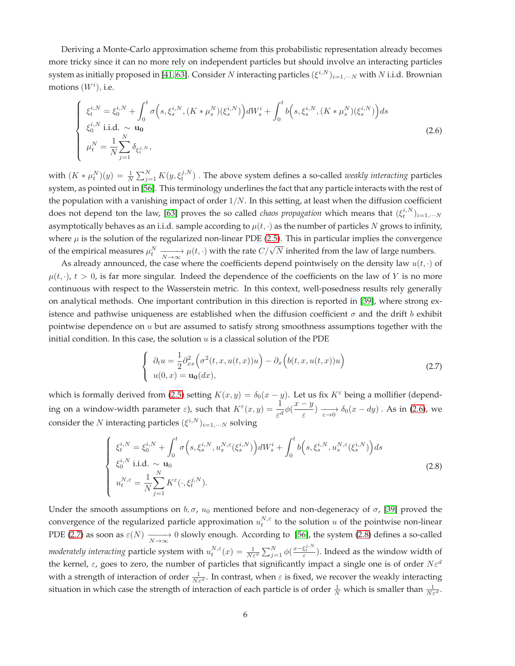Deriving a Monte-Carlo approximation scheme from this probabilistic representation already becomes more tricky since it can no more rely on independent particles but should involve an interacting particles system as initially proposed in [\[41,](#page-20-0) [63\]](#page-21-1). Consider  $N$  interacting particles  $(\xi^{i,N})_{i=1,\cdots N}$  with  $N$  i.i.d. Brownian motions  $(W<sup>i</sup>)$ , i.e.

<span id="page-5-0"></span>
$$
\begin{cases}\n\xi_t^{i,N} = \xi_0^{i,N} + \int_0^t \sigma\Big(s, \xi_s^{i,N}, (K * \mu_s^N)(\xi_s^{i,N})\Big)dW_s^i + \int_0^t b\Big(s, \xi_s^{i,N}, (K * \mu_s^N)(\xi_s^{i,N})\Big)ds \\
\xi_0^{i,N} \text{ i.i.d.} \sim \mathbf{u}_0 \\
\mu_t^N = \frac{1}{N} \sum_{j=1}^N \delta_{\xi_t^{j,N}},\n\end{cases} \tag{2.6}
$$

with  $(K * \mu_t^N)(y) = \frac{1}{N} \sum_{j=1}^N K(y, \xi_t^{j,N})$  . The above system defines a so-called *weakly interacting* particles system, as pointed out in [\[56\]](#page-21-7). This terminology underlines the fact that any particle interacts with the rest of the population with a vanishing impact of order  $1/N$ . In this setting, at least when the diffusion coefficient does not depend ton the law, [\[63\]](#page-21-1) proves the so called *chaos propagation* which means that  $(\xi_t^{i,N})_{i=1,\cdots N}$ asymptotically behaves as an i.i.d. sample according to  $\mu(t, \cdot)$  as the number of particles N grows to infinity, where  $\mu$  is the solution of the regularized non-linear PDE [\(2.5\)](#page-4-2). This in particular implies the convergence of the empirical measures  $\mu_t^N \xrightarrow[N \to \infty]{} \mu(t, \cdot)$  with the rate  $C/\sqrt{N}$  inherited from the law of large numbers.

As already announced, the case where the coefficients depend pointwisely on the density law  $u(t, \cdot)$  of  $\mu(t, \cdot)$ ,  $t > 0$ , is far more singular. Indeed the dependence of the coefficients on the law of Y is no more continuous with respect to the Wasserstein metric. In this context, well-posedness results rely generally on analytical methods. One important contribution in this direction is reported in [\[39\]](#page-20-4), where strong existence and pathwise uniqueness are established when the diffusion coefficient  $\sigma$  and the drift b exhibit pointwise dependence on  $u$  but are assumed to satisfy strong smoothness assumptions together with the initial condition. In this case, the solution  $u$  is a classical solution of the PDE

<span id="page-5-1"></span>
$$
\begin{cases}\n\partial_t u = \frac{1}{2} \partial_{xx}^2 \Big( \sigma^2(t, x, u(t, x)) u \Big) - \partial_x \Big( b(t, x, u(t, x)) u \Big) \\
u(0, x) = \mathbf{u_0}(dx),\n\end{cases}
$$
\n(2.7)

which is formally derived from [\(2.5\)](#page-4-2) setting  $K(x, y) = \delta_0(x - y)$ . Let us fix  $K^{\varepsilon}$  being a mollifier (depending on a window-width parameter  $\varepsilon$ ), such that  $K^{\varepsilon}(x, y) = \frac{1}{\varepsilon^d} \phi(\frac{x-y}{\varepsilon})$  $\frac{g}{\varepsilon}$ )  $\longrightarrow_{\varepsilon \to 0} \delta_0(x - dy)$ . As in [\(2.6\)](#page-5-0), we consider the N interacting particles  $(\xi^{i,N})_{i=1,\cdots N}$  solving

<span id="page-5-2"></span>
$$
\begin{cases}\n\xi_t^{i,N} = \xi_0^{i,N} + \int_0^t \sigma\Big(s, \xi_s^{i,N}, u_s^{N,\varepsilon}(\xi_s^{i,N})\Big) dW_s^i + \int_0^t b\Big(s, \xi_s^{i,N}, u_s^{N,\varepsilon}(\xi_s^{i,N})\Big) ds \\
\xi_0^{i,N} \text{ i.i.d.} \sim \mathbf{u}_0 \\
u_t^{N,\varepsilon} = \frac{1}{N} \sum_{j=1}^N K^{\varepsilon}(\cdot, \xi_t^{j,N}).\n\end{cases}
$$
\n(2.8)

Under the smooth assumptions on  $b, \sigma, u_0$  mentioned before and non-degeneracy of  $\sigma$ , [\[39\]](#page-20-4) proved the convergence of the regularized particle approximation  $u_t^{N,\varepsilon}$  to the solution  $u$  of the pointwise non-linear PDE [\(2.7\)](#page-5-1) as soon as  $\varepsilon(N) \xrightarrow[N \to \infty]{} 0$  slowly enough. According to [\[56\]](#page-21-7), the system [\(2.8\)](#page-5-2) defines a so-called *moderately interacting* particle system with  $u_t^{N,\varepsilon}(x)=\frac{1}{N\varepsilon^d}\sum_{j=1}^N\phi(\frac{x-\xi_t^{j,N}}{\varepsilon})$ . Indeed as the window width of the kernel,  $\varepsilon$ , goes to zero, the number of particles that significantly impact a single one is of order  $N\varepsilon^d$ with a strength of interaction of order  $\frac{1}{N\varepsilon^d}$ . In contrast, when  $\varepsilon$  is fixed, we recover the weakly interacting situation in which case the strength of interaction of each particle is of order  $\frac{1}{N}$  which is smaller than  $\frac{1}{N\varepsilon^d}$ .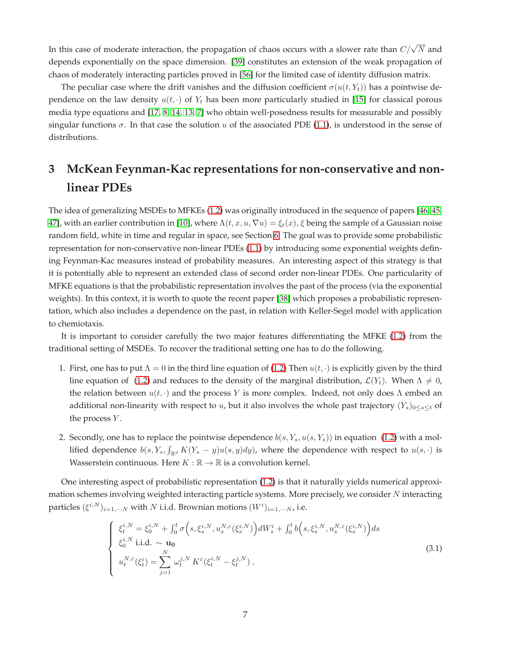In this case of moderate interaction, the propagation of chaos occurs with a slower rate than  $C/\sqrt{N}$  and depends exponentially on the space dimension. [\[39\]](#page-20-4) constitutes an extension of the weak propagation of chaos of moderately interacting particles proved in [\[56\]](#page-21-7) for the limited case of identity diffusion matrix.

The peculiar case where the drift vanishes and the diffusion coefficient  $\sigma(u(t, Y_t))$  has a pointwise dependence on the law density  $u(t, \cdot)$  of  $Y_t$  has been more particularly studied in [\[15\]](#page-18-5) for classical porous media type equations and [\[17,](#page-18-6) [8,](#page-18-7) [14,](#page-18-8) [13,](#page-18-9) [7\]](#page-18-10) who obtain well-posedness results for measurable and possibly singular functions  $\sigma$ . In that case the solution u of the associated PDE [\(1.1\)](#page-1-0), is understood in the sense of distributions.

## <span id="page-6-0"></span>**3 McKean Feynman-Kac representations for non-conservative and nonlinear PDEs**

The idea of generalizing MSDEs to MFKEs [\(1.2\)](#page-1-1) was originally introduced in the sequence of papers [\[46,](#page-20-5) [45,](#page-20-6) [47\]](#page-20-7), with an earlier contribution in [\[10\]](#page-18-11), where  $\Lambda(t, x, u, \nabla u) = \xi_t(x)$ ,  $\xi$  being the sample of a Gaussian noise random field, white in time and regular in space, see Section [6.](#page-13-0) The goal was to provide some probabilistic representation for non-conservative non-linear PDEs [\(1.1\)](#page-1-0) by introducing some exponential weights defining Feynman-Kac measures instead of probability measures. An interesting aspect of this strategy is that it is potentially able to represent an extended class of second order non-linear PDEs. One particularity of MFKE equations is that the probabilistic representation involves the past of the process (via the exponential weights). In this context, it is worth to quote the recent paper [\[38\]](#page-20-8) which proposes a probabilistic representation, which also includes a dependence on the past, in relation with Keller-Segel model with application to chemiotaxis.

It is important to consider carefully the two major features differentiating the MFKE [\(1.2\)](#page-1-1) from the traditional setting of MSDEs. To recover the traditional setting one has to do the following.

- 1. First, one has to put  $\Lambda = 0$  in the third line equation of [\(1.2\)](#page-1-1) Then  $u(t, \cdot)$  is explicitly given by the third line equation of [\(1.2\)](#page-1-1) and reduces to the density of the marginal distribution,  $\mathcal{L}(Y_t)$ . When  $\Lambda \neq 0$ , the relation between  $u(t, \cdot)$  and the process Y is more complex. Indeed, not only does  $\Lambda$  embed an additional non-linearity with respect to u, but it also involves the whole past trajectory  $(Y_s)_{0\leq s\leq t}$  of the process  $Y$ .
- 2. Secondly, one has to replace the pointwise dependence  $b(s, Y_s, u(s, Y_s))$  in equation [\(1.2\)](#page-1-1) with a mollified dependence  $b(s,Y_s,\int_{\mathbb{R}^d}K(Y_s-y)u(s,y)dy)$ , where the dependence with respect to  $u(s,\cdot)$  is Wasserstein continuous. Here  $K : \mathbb{R} \to \mathbb{R}$  is a convolution kernel.

One interesting aspect of probabilistic representation [\(1.2\)](#page-1-1) is that it naturally yields numerical approximation schemes involving weighted interacting particle systems. More precisely, we consider N interacting particles  $(\xi^{i,N})_{i=1,\cdots N}$  with  $N$  i.i.d. Brownian motions  $(W^i)_{i=1,\cdots N}$ , i.e.

<span id="page-6-1"></span>
$$
\begin{cases}\n\xi_t^{i,N} = \xi_0^{i,N} + \int_0^t \sigma\left(s, \xi_s^{i,N}, u_s^{N,\varepsilon}(\xi_s^{i,N})\right) dW_s^i + \int_0^t b\left(s, \xi_s^{i,N}, u_s^{N,\varepsilon}(\xi_s^{i,N})\right) ds \\
\xi_0^{i,N} \text{ i.i.d.} \sim \mathbf{u}_0 \\
u_t^{N,\varepsilon}(\xi_t^i) = \sum_{j=1}^N \omega_t^{j,N} K^{\varepsilon}(\xi_t^{i,N} - \xi_t^{j,N}),\n\end{cases} \tag{3.1}
$$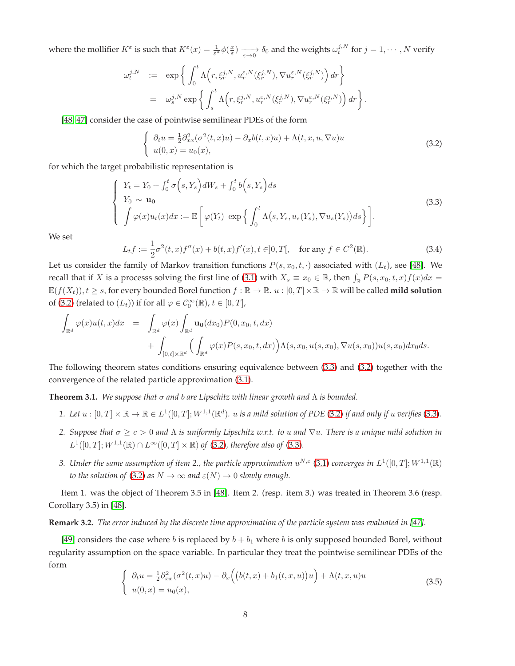where the mollifier  $K^{\varepsilon}$  is such that  $K^{\varepsilon}(x) = \frac{1}{\varepsilon^{d}} \phi(\frac{x}{\varepsilon}) \xrightarrow[\varepsilon \to 0]{} \delta_0$  and the weights  $\omega_t^{j,N}$  for  $j = 1, \cdots, N$  verify

$$
\omega_t^{j,N} \quad := \quad \exp\left\{ \int_0^t \Lambda\Big(r, \xi_r^{j,N}, u_r^{\varepsilon,N}(\xi_r^{j,N}), \nabla u_r^{\varepsilon,N}(\xi_r^{j,N})\Big) \, dr \right\}
$$
\n
$$
= \quad \omega_s^{j,N} \exp\left\{ \int_s^t \Lambda\Big(r, \xi_r^{j,N}, u_r^{\varepsilon,N}(\xi_r^{j,N}), \nabla u_r^{\varepsilon,N}(\xi_r^{j,N})\Big) \, dr \right\}.
$$

[\[48,](#page-20-9) [47\]](#page-20-7) consider the case of pointwise semilinear PDEs of the form

<span id="page-7-0"></span>
$$
\begin{cases}\n\partial_t u = \frac{1}{2} \partial_{xx}^2 (\sigma^2(t, x)u) - \partial_x b(t, x)u) + \Lambda(t, x, u, \nabla u)u \\
u(0, x) = u_0(x),\n\end{cases}
$$
\n(3.2)

for which the target probabilistic representation is

<span id="page-7-1"></span>
$$
\begin{cases}\nY_t = Y_0 + \int_0^t \sigma(s, Y_s) dW_s + \int_0^t b(s, Y_s) ds \\
Y_0 \sim \mathbf{u}_0 \\
\int \varphi(x) u_t(x) dx := \mathbb{E} \left[ \varphi(Y_t) \exp \left\{ \int_0^t \Lambda(s, Y_s, u_s(Y_s), \nabla u_s(Y_s)) ds \right\} \right].\n\end{cases}
$$
\n(3.3)

We set

<span id="page-7-3"></span>
$$
L_t f := \frac{1}{2}\sigma^2(t, x) f''(x) + b(t, x) f'(x), t \in ]0, T[, \quad \text{for any } f \in C^2(\mathbb{R}).
$$
 (3.4)

Let us consider the family of Markov transition functions  $P(s, x_0, t, \cdot)$  associated with  $(L_t)$ , see [\[48\]](#page-20-9). We recall that if X is a processs solving the first line of [\(3.1\)](#page-6-1) with  $X_s \equiv x_0 \in \mathbb{R}$ , then  $\int_{\mathbb{R}} P(s, x_0, t, x) f(x) dx =$  $\mathbb{E}(f(X_t)), t \geq s$ , for every bounded Borel function  $f : \mathbb{R} \to \mathbb{R}$ .  $u : [0, T] \times \mathbb{R} \to \mathbb{R}$  will be called **mild solution** of [\(3.2\)](#page-7-0) (related to  $(L_t)$ ) if for all  $\varphi \in C_0^{\infty}(\mathbb{R})$ ,  $t \in [0, T]$ ,

$$
\int_{\mathbb{R}^d} \varphi(x) u(t,x) dx = \int_{\mathbb{R}^d} \varphi(x) \int_{\mathbb{R}^d} \mathbf{u}_0(dx_0) P(0,x_0,t, dx) \n+ \int_{[0,t] \times \mathbb{R}^d} \Big( \int_{\mathbb{R}^d} \varphi(x) P(s,x_0,t, dx) \Big) \Lambda(s,x_0, u(s,x_0), \nabla u(s,x_0)) u(s,x_0) dx_0 ds.
$$

The following theorem states conditions ensuring equivalence between [\(3.3\)](#page-7-1) and [\(3.2\)](#page-7-0) together with the convergence of the related particle approximation [\(3.1\)](#page-6-1).

**Theorem 3.1.** *We suppose that* σ *and* b *are Lipschitz with linear growth and* Λ *is bounded.*

- 1. Let  $u:[0,T]\times\mathbb{R}\to\mathbb{R}\in L^1([0,T];W^{1,1}(\mathbb{R}^d)$ . u is a mild solution of PDE [\(3.2\)](#page-7-0) if and only if u verifies [\(3.3\)](#page-7-1).
- *2. Suppose that* σ ≥ c > 0 *and* Λ *is uniformly Lipschitz w.r.t. to* u *and* ∇u*. There is a unique mild solution in*  $L^1([0,T]; W^{1,1}(\mathbb{R}) \cap L^{\infty}([0,T] \times \mathbb{R})$  of [\(3.2\)](#page-7-0), therefore also of [\(3.3\)](#page-7-1).
- 3. Under the same assumption of item 2., the particle approximation  $u^{N,\varepsilon}$  [\(3.1\)](#page-6-1) converges in  $L^1([0,T];W^{1,1}(\mathbb{R})$ *to the solution of* [\(3.2\)](#page-7-0) *as*  $N \to \infty$  *and*  $\varepsilon(N) \to 0$  *slowly enough.*

Item 1. was the object of Theorem 3.5 in [\[48\]](#page-20-9). Item 2. (resp. item 3.) was treated in Theorem 3.6 (resp. Corollary 3.5) in [\[48\]](#page-20-9).

#### **Remark 3.2.** *The error induced by the discrete time approximation of the particle system was evaluated in [\[47\]](#page-20-7).*

[\[49\]](#page-20-10) considers the case where b is replaced by  $b + b_1$  where b is only supposed bounded Borel, without regularity assumption on the space variable. In particular they treat the pointwise semilinear PDEs of the form

<span id="page-7-2"></span>
$$
\begin{cases}\n\partial_t u = \frac{1}{2} \partial_{xx}^2 (\sigma^2(t, x)u) - \partial_x \Big( \big( b(t, x) + b_1(t, x, u) \big) u \Big) + \Lambda(t, x, u) u \\
u(0, x) = u_0(x),\n\end{cases}
$$
\n(3.5)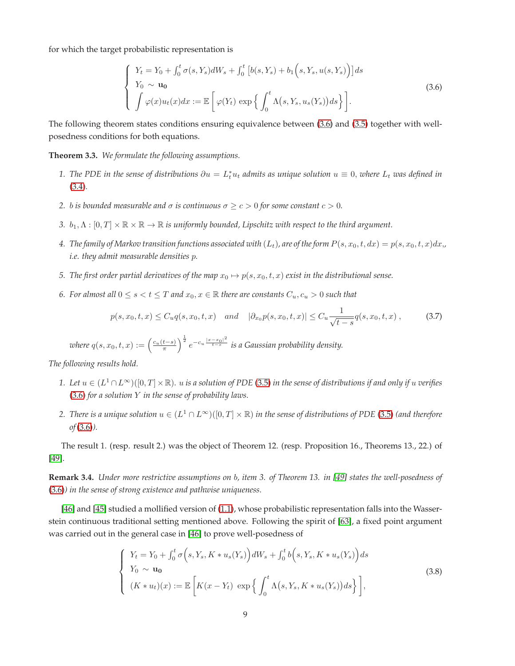for which the target probabilistic representation is

<span id="page-8-0"></span>
$$
\begin{cases}\nY_t = Y_0 + \int_0^t \sigma(s, Y_s) dW_s + \int_0^t \left[b(s, Y_s) + b_1\left(s, Y_s, u(s, Y_s)\right)\right] ds \\
Y_0 \sim \mathbf{u}_0 \\
\int \varphi(x) u_t(x) dx := \mathbb{E}\left[\varphi(Y_t) \exp\left\{\int_0^t \Lambda(s, Y_s, u_s(Y_s)) ds\right\}\right].\n\end{cases} \tag{3.6}
$$

The following theorem states conditions ensuring equivalence between [\(3.6\)](#page-8-0) and [\(3.5\)](#page-7-2) together with wellposedness conditions for both equations.

**Theorem 3.3.** *We formulate the following assumptions.*

- 1. The PDE in the sense of distributions  $\partial u = L_t^* u_t$  admits as unique solution  $u \equiv 0$ , where  $L_t$  was defined in [\(3.4\)](#page-7-3)*.*
- *2. b is bounded measurable and*  $\sigma$  *is continuous*  $\sigma \ge c > 0$  *for some constant*  $c > 0$ *.*
- *3.*  $b_1, \Lambda : [0, T] \times \mathbb{R} \times \mathbb{R} \to \mathbb{R}$  *is uniformly bounded, Lipschitz with respect to the third argument.*
- 4. The family of Markov transition functions associated with  $(L_t)$ , are of the form  $P(s, x_0, t, dx) = p(s, x_0, t, x)dx$ , *i.e. they admit measurable densities* p*.*
- *5. The first order partial derivatives of the map*  $x_0 \mapsto p(s, x_0, t, x)$  *exist in the distributional sense.*
- *6. For almost all*  $0 \le s < t \le T$  *and*  $x_0, x \in \mathbb{R}$  *there are constants*  $C_u, c_u > 0$  *such that*

$$
p(s, x_0, t, x) \le C_u q(s, x_0, t, x) \quad and \quad |\partial_{x_0} p(s, x_0, t, x)| \le C_u \frac{1}{\sqrt{t - s}} q(s, x_0, t, x) ,\tag{3.7}
$$

 $\textit{where} \ q(s,x_0,t,x) := \left( \frac{c_u(t-s)}{\pi} \right)^{\frac{1}{2}} e^{-c_u \frac{|x-x_0|^2}{t-s}} \textit{ is a Gaussian probability density}.$ 

*The following results hold.*

- *1. Let* u ∈ (L <sup>1</sup> <sup>∩</sup>L<sup>∞</sup>)([0, T]×R)*.* <sup>u</sup> *is a solution of PDE* [\(3.5\)](#page-7-2) *in the sense of distributions if and only if* <sup>u</sup> *verifies* [\(3.6\)](#page-8-0) *for a solution* Y *in the sense of probability laws.*
- 2. There is a unique solution  $u \in (L^1 \cap L^{\infty})([0,T] \times \mathbb{R})$  in the sense of distributions of PDE [\(3.5\)](#page-7-2) (and therefore *of*[\(3.6\)](#page-8-0)*).*

The result 1. (resp. result 2.) was the object of Theorem 12. (resp. Proposition 16., Theorems 13., 22.) of [\[49\]](#page-20-10).

**Remark 3.4.** *Under more restrictive assumptions on* b*, item 3. of Theorem 13. in [\[49\]](#page-20-10) states the well-posedness of* [\(3.6\)](#page-8-0)*) in the sense of strong existence and pathwise uniqueness.*

[\[46\]](#page-20-5) and [\[45\]](#page-20-6) studied a mollified version of [\(1.1\)](#page-1-0), whose probabilistic representation falls into the Wasserstein continuous traditional setting mentioned above. Following the spirit of [\[63\]](#page-21-1), a fixed point argument was carried out in the general case in [\[46\]](#page-20-5) to prove well-posedness of

<span id="page-8-1"></span>
$$
\begin{cases}\nY_t = Y_0 + \int_0^t \sigma\Big(s, Y_s, K \ast u_s(Y_s)\Big)dW_s + \int_0^t b\Big(s, Y_s, K \ast u_s(Y_s)\Big)ds \\
Y_0 \sim \mathbf{u}_0 \\
(K \ast u_t)(x) := \mathbb{E}\left[K(x - Y_t) \exp\Big\{\int_0^t \Lambda\big(s, Y_s, K \ast u_s(Y_s)\big)ds\Big\}\right],\n\end{cases} \tag{3.8}
$$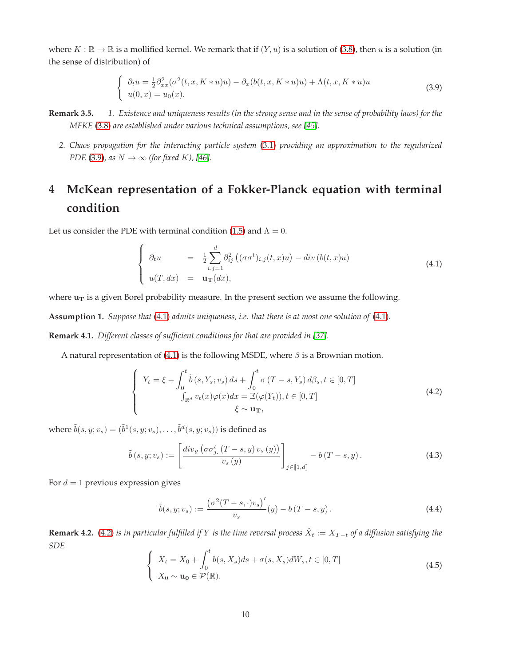where  $K : \mathbb{R} \to \mathbb{R}$  is a mollified kernel. We remark that if  $(Y, u)$  is a solution of [\(3.8\)](#page-8-1), then u is a solution (in the sense of distribution) of

<span id="page-9-1"></span>
$$
\begin{cases}\n\partial_t u = \frac{1}{2} \partial_{xx}^2 (\sigma^2(t, x, K * u)u) - \partial_x (b(t, x, K * u)u) + \Lambda(t, x, K * u)u \\
u(0, x) = u_0(x).\n\end{cases}
$$
\n(3.9)

- **Remark 3.5.** *1. Existence and uniqueness results (in the strong sense and in the sense of probability laws) for the MFKE* [\(3.8\)](#page-8-1) *are established under various technical assumptions, see [\[45\]](#page-20-6).*
	- *2. Chaos propagation for the interacting particle system* [\(3.1\)](#page-6-1) *providing an approximation to the regularized PDE* [\(3.9\)](#page-9-1)*, as*  $N \rightarrow \infty$  *(for fixed K)*, [\[46\]](#page-20-5)*.*

## <span id="page-9-0"></span>**4 McKean representation of a Fokker-Planck equation with terminal condition**

Let us consider the PDE with terminal condition [\(1.5\)](#page-2-0) and  $\Lambda = 0$ .

<span id="page-9-2"></span>
$$
\begin{cases}\n\partial_t u = \frac{1}{2} \sum_{i,j=1}^d \partial_{ij}^2 \left( (\sigma \sigma^t)_{i,j}(t,x) u \right) - div \left( b(t,x) u \right) \\
u(T, dx) = \mathbf{u}_T(dx),\n\end{cases} \tag{4.1}
$$

where  $u_T$  is a given Borel probability measure. In the present section we assume the following.

**Assumption 1.** *Suppose that* [\(4.1\)](#page-9-2) *admits uniqueness, i.e. that there is at most one solution of* [\(4.1\)](#page-9-2)*.*

**Remark 4.1.** *Different classes of sufficient conditions for that are provided in [\[37\]](#page-20-11).*

A natural representation of [\(4.1\)](#page-9-2) is the following MSDE, where  $\beta$  is a Brownian motion.

<span id="page-9-3"></span>
$$
\begin{cases}\nY_t = \xi - \int_0^t \tilde{b}(s, Y_s; v_s) ds + \int_0^t \sigma(T - s, Y_s) d\beta_s, t \in [0, T] \\
\int_{\mathbb{R}^d} v_t(x) \varphi(x) dx = \mathbb{E}(\varphi(Y_t)), t \in [0, T] \\
\xi \sim \mathbf{u}_T,\n\end{cases}
$$
\n(4.2)

where  $\tilde{b}(s,y;v_s) = (\tilde{b}^1(s,y;v_s), \ldots, \tilde{b}^d(s,y;v_s))$  is defined as

<span id="page-9-4"></span>
$$
\tilde{b}(s, y; v_s) := \left[\frac{div_y\left(\sigma\sigma_{j.}^t(T-s, y)\,v_s\left(y\right)\right)}{v_s\left(y\right)}\right]_{j \in \llbracket 1, d\rrbracket} - b\left(T-s, y\right). \tag{4.3}
$$

For  $d = 1$  previous expression gives

$$
\tilde{b}(s, y; v_s) := \frac{(\sigma^2 (T - s, \cdot) v_s)'}{v_s}(y) - b(T - s, y).
$$
\n(4.4)

**Remark 4.2.** [\(4.2\)](#page-9-3) *is in particular fulfilled if*  $Y$  *is the time reversal process*  $\hat{X}_t := X_{T-t}$  *of a diffusion satisfying the SDE*

<span id="page-9-5"></span>
$$
\begin{cases}\nX_t = X_0 + \int_0^t b(s, X_s)ds + \sigma(s, X_s)dW_s, t \in [0, T] \\
X_0 \sim \mathbf{u_0} \in \mathcal{P}(\mathbb{R}).\n\end{cases}
$$
\n(4.5)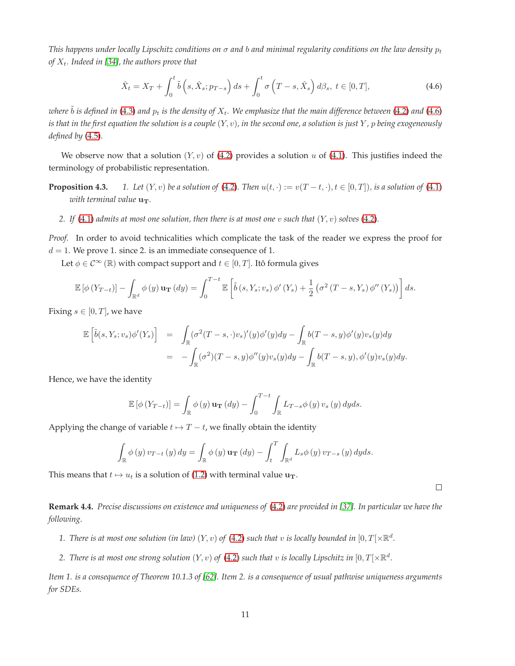*This happens under locally Lipschitz conditions on*  $\sigma$  *and b and minimal regularity conditions on the law density*  $p_t$ *of*  $X_t$ *. Indeed in* [\[34\]](#page-19-1)*, the authors prove that* 

<span id="page-10-0"></span>
$$
\hat{X}_t = X_T + \int_0^t \tilde{b}\left(s, \hat{X}_s; p_{T-s}\right) ds + \int_0^t \sigma\left(T - s, \hat{X}_s\right) d\beta_s, \ t \in [0, T],\tag{4.6}
$$

*where*  $\tilde{b}$  *is defined in* [\(4.3\)](#page-9-4) *and*  $p_t$  *is the density of*  $X_t$ . We emphasize that the main difference between [\(4.2\)](#page-9-3) *and* [\(4.6\)](#page-10-0) *is that in the first equation the solution is a couple*  $(Y, v)$ *, in the second one, a solution is just*  $Y$ *, p being exogeneously defined by* [\(4.5\)](#page-9-5)*.*

We observe now that a solution  $(Y, v)$  of [\(4.2\)](#page-9-3) provides a solution u of [\(4.1\)](#page-9-2). This justifies indeed the terminology of probabilistic representation.

**Proposition 4.3.** *1. Let*  $(Y, v)$  *be a solution of* [\(4.2\)](#page-9-3)*. Then*  $u(t, \cdot) := v(T - t, \cdot)$ ,  $t \in [0, T]$ *, is a solution of* [\(4.1\)](#page-9-2) *with terminal value*  $u_T$ .

*2. If* [\(4.1\)](#page-9-2) *admits at most one solution, then there is at most one* v *such that*  $(Y, v)$  *solves* [\(4.2\)](#page-9-3)*.* 

*Proof.* In order to avoid technicalities which complicate the task of the reader we express the proof for  $d = 1$ . We prove 1. since 2. is an immediate consequence of 1.

Let  $\phi \in \mathcal{C}^{\infty}(\mathbb{R})$  with compact support and  $t \in [0, T]$ . Itô formula gives

$$
\mathbb{E}\left[\phi\left(Y_{T-t}\right)\right] - \int_{\mathbb{R}^d} \phi\left(y\right) \mathbf{u}_\mathbf{T}\left(dy\right) = \int_0^{T-t} \mathbb{E}\left[\tilde{b}\left(s, Y_s; v_s\right) \phi'\left(Y_s\right) + \frac{1}{2} \left(\sigma^2 \left(T-s, Y_s\right) \phi''\left(Y_s\right)\right)\right] ds.
$$

Fixing  $s \in [0, T]$ , we have

$$
\mathbb{E}\left[\tilde{b}(s,Y_s;v_s)\phi'(Y_s)\right] = \int_{\mathbb{R}} (\sigma^2(T-s,\cdot)v_s)'(y)\phi'(y)dy - \int_{\mathbb{R}} b(T-s,y)\phi'(y)v_s(y)dy
$$
  

$$
= -\int_{\mathbb{R}} (\sigma^2)(T-s,y)\phi''(y)v_s(y)dy - \int_{\mathbb{R}} b(T-s,y),\phi'(y)v_s(y)dy.
$$

Hence, we have the identity

$$
\mathbb{E}\left[\phi\left(Y_{T-t}\right)\right] = \int_{\mathbb{R}} \phi\left(y\right) \mathbf{u}_{\mathbf{T}}\left(dy\right) - \int_{0}^{T-t} \int_{\mathbb{R}} L_{T-s} \phi\left(y\right) v_{s}\left(y\right) dy ds.
$$

Applying the change of variable  $t \mapsto T-t$ , we finally obtain the identity

$$
\int_{\mathbb{R}} \phi(y) v_{T-t}(y) dy = \int_{\mathbb{R}} \phi(y) \mathbf{u}_{\mathbf{T}}(dy) - \int_{t}^{T} \int_{\mathbb{R}^{d}} L_{s} \phi(y) v_{T-s}(y) dy ds.
$$

This means that  $t \mapsto u_t$  is a solution of [\(1.2\)](#page-2-1) with terminal value  $u_T$ .

 $\Box$ 

**Remark 4.4.** *Precise discussions on existence and uniqueness of* [\(4.2\)](#page-9-3) *are provided in [\[37\]](#page-20-11). In particular we have the following.*

- 1. There is at most one solution (in law)  $(Y, v)$  of  $(4.2)$  such that  $v$  is locally bounded in  $[0, T[ \times \mathbb{R}^d]$ .
- 2. *There is at most one strong solution*  $(Y, v)$  *of* [\(4.2\)](#page-9-3) *such that*  $v$  *is locally Lipschitz in*  $[0, T[\times \mathbb{R}^d$ .

*Item 1. is a consequence of Theorem 10.1.3 of [\[62\]](#page-21-8). Item 2. is a consequence of usual pathwise uniqueness arguments for SDEs.*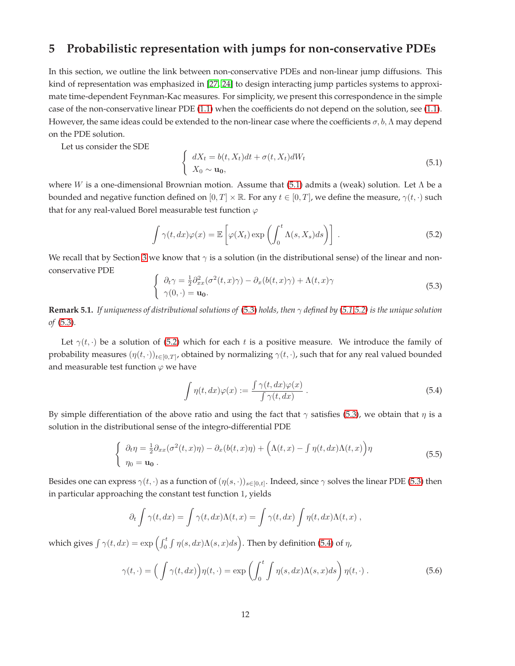## <span id="page-11-0"></span>**5 Probabilistic representation with jumps for non-conservative PDEs**

In this section, we outline the link between non-conservative PDEs and non-linear jump diffusions. This kind of representation was emphasized in [\[27,](#page-19-2) [24\]](#page-19-3) to design interacting jump particles systems to approximate time-dependent Feynman-Kac measures. For simplicity, we present this correspondence in the simple case of the non-conservative linear PDE [\(1.1\)](#page-1-0) when the coefficients do not depend on the solution, see [\(1.1\)](#page-1-0). However, the same ideas could be extended to the non-linear case where the coefficients  $\sigma$ ,  $b$ ,  $\Lambda$  may depend on the PDE solution.

Let us consider the SDE

<span id="page-11-1"></span>
$$
\begin{cases}\n dX_t = b(t, X_t)dt + \sigma(t, X_t)dW_t \\
 X_0 \sim \mathbf{u_0},\n\end{cases}
$$
\n(5.1)

where W is a one-dimensional Brownian motion. Assume that [\(5.1\)](#page-11-1) admits a (weak) solution. Let  $\Lambda$  be a bounded and negative function defined on  $[0, T] \times \mathbb{R}$ . For any  $t \in [0, T]$ , we define the measure,  $\gamma(t, \cdot)$  such that for any real-valued Borel measurable test function  $\varphi$ 

<span id="page-11-3"></span>
$$
\int \gamma(t, dx)\varphi(x) = \mathbb{E}\left[\varphi(X_t)\exp\left(\int_0^t \Lambda(s, X_s)ds\right)\right].
$$
\n(5.2)

We recall that by Section [3](#page-6-0) we know that  $\gamma$  is a solution (in the distributional sense) of the linear and nonconservative PDE

<span id="page-11-2"></span>
$$
\begin{cases}\n\partial_t \gamma = \frac{1}{2} \partial_{xx}^2 (\sigma^2(t, x) \gamma) - \partial_x (b(t, x) \gamma) + \Lambda(t, x) \gamma \\
\gamma(0, \cdot) = \mathbf{u_0}.\n\end{cases}
$$
\n(5.3)

**Remark 5.1.** *If uniqueness of distributional solutions of* [\(5.3\)](#page-11-2) *holds, then* γ *defined by [\(5.1,](#page-11-1)[5.2\)](#page-11-3) is the unique solution of* [\(5.3\)](#page-11-2)*.*

Let  $\gamma(t, \cdot)$  be a solution of [\(5.2\)](#page-11-3) which for each t is a positive measure. We introduce the family of probability measures  $(\eta(t,\cdot))_{t\in[0,T]}$ , obtained by normalizing  $\gamma(t,\cdot)$ , such that for any real valued bounded and measurable test function  $\varphi$  we have

<span id="page-11-4"></span>
$$
\int \eta(t, dx)\varphi(x) := \frac{\int \gamma(t, dx)\varphi(x)}{\int \gamma(t, dx)}.
$$
\n(5.4)

By simple differentiation of the above ratio and using the fact that  $\gamma$  satisfies [\(5.3\)](#page-11-2), we obtain that  $\eta$  is a solution in the distributional sense of the integro-differential PDE

<span id="page-11-5"></span>
$$
\begin{cases}\n\partial_t \eta = \frac{1}{2} \partial_{xx} (\sigma^2(t, x)\eta) - \partial_x (b(t, x)\eta) + \left(\Lambda(t, x) - \int \eta(t, dx)\Lambda(t, x)\right) \eta \\
\eta_0 = \mathbf{u_0} \,.\n\end{cases} \tag{5.5}
$$

Besides one can express  $\gamma(t,\cdot)$  as a function of  $(\eta(s,\cdot))_{s\in[0,t]}$ . Indeed, since  $\gamma$  solves the linear PDE [\(5.3\)](#page-11-2) then in particular approaching the constant test function 1, yields

$$
\partial_t \int \gamma(t, dx) = \int \gamma(t, dx) \Lambda(t, x) = \int \gamma(t, dx) \int \eta(t, dx) \Lambda(t, x) ,
$$

which gives  $\int \gamma(t, dx) = \exp \left( \int_0^t \int \eta(s, dx) \Lambda(s, x) ds \right)$ . Then by definition [\(5.4\)](#page-11-4) of  $\eta$ ,

<span id="page-11-6"></span>
$$
\gamma(t,\cdot) = \left(\int \gamma(t,dx)\right) \eta(t,\cdot) = \exp\left(\int_0^t \int \eta(s,dx) \Lambda(s,x)ds\right) \eta(t,\cdot).
$$
\n(5.6)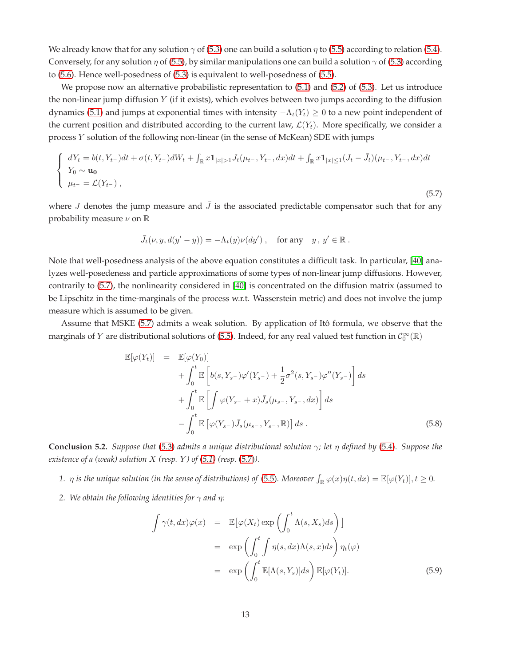We already know that for any solution  $\gamma$  of [\(5.3\)](#page-11-2) one can build a solution  $\eta$  to [\(5.5\)](#page-11-5) according to relation [\(5.4\)](#page-11-4). Conversely, for any solution  $\eta$  of [\(5.5\)](#page-11-5), by similar manipulations one can build a solution  $\gamma$  of [\(5.3\)](#page-11-2) according to [\(5.6\)](#page-11-6). Hence well-posedness of [\(5.3\)](#page-11-2) is equivalent to well-posedness of [\(5.5\)](#page-11-5).

We propose now an alternative probabilistic representation to [\(5.1\)](#page-11-1) and [\(5.2\)](#page-11-3) of [\(5.3\)](#page-11-2). Let us introduce the non-linear jump diffusion  $Y$  (if it exists), which evolves between two jumps according to the diffusion dynamics [\(5.1\)](#page-11-1) and jumps at exponential times with intensity  $-\Lambda_t(Y_t) \geq 0$  to a new point independent of the current position and distributed according to the current law,  $\mathcal{L}(Y_t)$ . More specifically, we consider a process Y solution of the following non-linear (in the sense of McKean) SDE with jumps

<span id="page-12-0"></span>
$$
\begin{cases}\ndY_t = b(t, Y_{t-})dt + \sigma(t, Y_{t-})dW_t + \int_{\mathbb{R}} x \mathbf{1}_{|x|>1} J_t(\mu_{t-}, Y_{t-}, dx)dt + \int_{\mathbb{R}} x \mathbf{1}_{|x|\leq 1} (J_t - \bar{J}_t)(\mu_{t-}, Y_{t-}, dx)dt \\
Y_0 \sim \mathbf{u}_0 \\
\mu_{t-} = \mathcal{L}(Y_{t-}),\n\end{cases}
$$

(5.7)

where J denotes the jump measure and  $\bar{J}$  is the associated predictable compensator such that for any probability measure  $\nu$  on  $\mathbb R$ 

$$
\bar{J}_t(\nu, y, d(y'-y)) = -\Lambda_t(y)\nu(dy') , \text{ for any } y, y' \in \mathbb{R} .
$$

Note that well-posedness analysis of the above equation constitutes a difficult task. In particular, [\[40\]](#page-20-12) analyzes well-posedeness and particle approximations of some types of non-linear jump diffusions. However, contrarily to [\(5.7\)](#page-12-0), the nonlinearity considered in [\[40\]](#page-20-12) is concentrated on the diffusion matrix (assumed to be Lipschitz in the time-marginals of the process w.r.t. Wasserstein metric) and does not involve the jump measure which is assumed to be given.

Assume that MSKE [\(5.7\)](#page-12-0) admits a weak solution. By application of Itô formula, we observe that the marginals of Y are distributional solutions of [\(5.5\)](#page-11-5). Indeed, for any real valued test function in  $\mathcal{C}_0^{\infty}(\mathbb{R})$ 

$$
\mathbb{E}[\varphi(Y_t)] = \mathbb{E}[\varphi(Y_0)]
$$
  
+  $\int_0^t \mathbb{E}\left[b(s, Y_{s-})\varphi'(Y_{s-}) + \frac{1}{2}\sigma^2(s, Y_{s-})\varphi''(Y_{s-})\right] ds$   
+  $\int_0^t \mathbb{E}\left[\int \varphi(Y_{s-} + x)\bar{J}_s(\mu_{s-}, Y_{s-}, dx)\right] ds$   
-  $\int_0^t \mathbb{E}\left[\varphi(Y_{s-})\bar{J}_s(\mu_{s-}, Y_{s-}, \mathbb{R})\right] ds$ . (5.8)

**Conclusion 5.2.** *Suppose that* [\(5.3\)](#page-11-2) *admits a unique distributional solution* γ*; let* η *defined by* [\(5.4\)](#page-11-4)*. Suppose the existence of a (weak) solution*  $X$  (resp.  $Y$ ) of [\(5.1\)](#page-11-1) (resp. [\(5.7\)](#page-12-0)).

- 1.  $\eta$  is the unique solution (in the sense of distributions) of [\(5.5\)](#page-11-5). Moreover  $\int_{\mathbb{R}} \varphi(x)\eta(t,dx) = \mathbb{E}[\varphi(Y_t)], t \ge 0$ .
- *2. We obtain the following identities for*  $\gamma$  *and*  $\eta$ :

$$
\int \gamma(t, dx)\varphi(x) = \mathbb{E}[\varphi(X_t) \exp\left(\int_0^t \Lambda(s, X_s)ds\right)]
$$
  
\n
$$
= \exp\left(\int_0^t \int \eta(s, dx)\Lambda(s, x)ds\right)\eta_t(\varphi)
$$
  
\n
$$
= \exp\left(\int_0^t \mathbb{E}[\Lambda(s, Y_s)]ds\right)\mathbb{E}[\varphi(Y_t)].
$$
\n(5.9)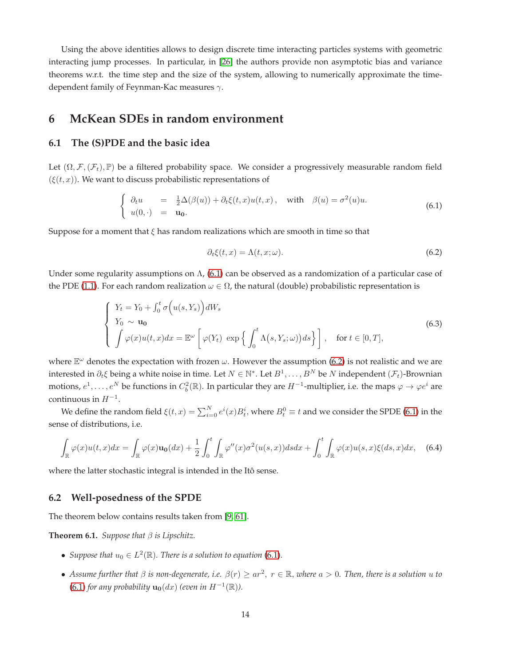Using the above identities allows to design discrete time interacting particles systems with geometric interacting jump processes. In particular, in [\[26\]](#page-19-4) the authors provide non asymptotic bias and variance theorems w.r.t. the time step and the size of the system, allowing to numerically approximate the timedependent family of Feynman-Kac measures  $\gamma$ .

## <span id="page-13-0"></span>**6 McKean SDEs in random environment**

#### **6.1 The (S)PDE and the basic idea**

Let  $(\Omega, \mathcal{F}, (\mathcal{F}_t), \mathbb{P})$  be a filtered probability space. We consider a progressively measurable random field  $(\xi(t, x))$ . We want to discuss probabilistic representations of

<span id="page-13-1"></span>
$$
\begin{cases}\n\partial_t u = \frac{1}{2} \Delta(\beta(u)) + \partial_t \xi(t, x) u(t, x), \quad \text{with} \quad \beta(u) = \sigma^2(u) u. \\
u(0, \cdot) = \mathbf{u_0}.\n\end{cases}
$$
\n(6.1)

Suppose for a moment that  $\xi$  has random realizations which are smooth in time so that

<span id="page-13-2"></span>
$$
\partial_t \xi(t, x) = \Lambda(t, x; \omega). \tag{6.2}
$$

Under some regularity assumptions on  $\Lambda$ , [\(6.1\)](#page-13-1) can be observed as a randomization of a particular case of the PDE [\(1.1\)](#page-1-0). For each random realization  $\omega \in \Omega$ , the natural (double) probabilistic representation is

$$
\begin{cases}\nY_t = Y_0 + \int_0^t \sigma\Big(u(s, Y_s)\Big)dW_s \\
Y_0 \sim \mathbf{u}_0 \\
\int \varphi(x)u(t, x)dx = \mathbb{E}^{\omega}\Big[\varphi(Y_t) \exp\Big\{\int_0^t \Lambda\big(s, Y_s; \omega\big)\Big)ds\Big\}\Big], \quad \text{for } t \in [0, T],\n\end{cases} \tag{6.3}
$$

where  $\mathbb{E}^{\omega}$  denotes the expectation with frozen  $\omega$ . However the assumption [\(6.2\)](#page-13-2) is not realistic and we are interested in  $\partial_t \xi$  being a white noise in time. Let  $N \in \mathbb{N}^*$ . Let  $B^1, \ldots, B^N$  be  $N$  independent  $(\mathcal{F}_t)$ -Brownian motions,  $e^1, \ldots, e^N$  be functions in  $C_b^2(\mathbb{R})$ . In particular they are  $H^{-1}$ -multiplier, i.e. the maps  $\varphi \to \varphi e^i$  are  $continuous$  in  $H^{-1}$ .

We define the random field  $\xi(t,x) = \sum_{i=0}^{N} e^i(x) B_t^i$ , where  $B_t^0 \equiv t$  and we consider the SPDE [\(6.1\)](#page-13-1) in the sense of distributions, i.e.

$$
\int_{\mathbb{R}} \varphi(x)u(t,x)dx = \int_{\mathbb{R}} \varphi(x)u_0(dx) + \frac{1}{2} \int_0^t \int_{\mathbb{R}} \varphi''(x)\sigma^2(u(s,x))dsdx + \int_0^t \int_{\mathbb{R}} \varphi(x)u(s,x)\xi(ds,x)dx, \quad (6.4)
$$

where the latter stochastic integral is intended in the Itô sense.

#### **6.2 Well-posedness of the SPDE**

The theorem below contains results taken from [\[9,](#page-18-12) [61\]](#page-21-9).

<span id="page-13-3"></span>**Theorem 6.1.** *Suppose that* β *is Lipschitz.*

- *Suppose that*  $u_0 \in L^2(\mathbb{R})$ . There is a solution to equation [\(6.1\)](#page-13-1).
- Assume further that  $\beta$  is non-degenerate, i.e.  $\beta(r) \ge ar^2$ ,  $r \in \mathbb{R}$ , where  $a > 0$ . Then, there is a solution  $u$  to  $(6.1)$  *for any probability*  $\mathbf{u_0}(dx)$  *(even in*  $H^{-1}(\mathbb{R})$ *)*.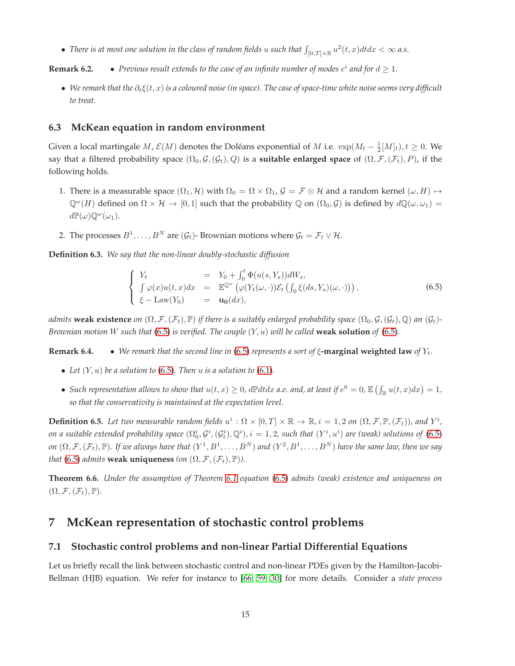• There is at most one solution in the class of random fields  $u$  such that  $\int_{[0,T]\times\mathbb{R}}u^2(t,x)dtdx < \infty$  a.s.

**Remark 6.2.** • *Previous result extends to the case of an infinite number of modes*  $e^i$  *and for*  $d \geq 1$ *.* 

• *We remark that the*  $\partial_t \xi(t, x)$  *is a coloured noise (in space). The case of space-time white noise seems very difficult to treat.*

#### **6.3 McKean equation in random environment**

Given a local martingale  $M$ ,  $\mathcal{E}(M)$  denotes the Doléans exponential of  $M$  i.e.  $\exp(M_t - \frac{1}{2}[M]_t)$ ,  $t \ge 0$ . We say that a filtered probability space  $(\Omega_0, \mathcal{G}, (\mathcal{G}_t), Q)$  is a **suitable enlarged space** of  $(\Omega, \mathcal{F}, (\mathcal{F}_t), P)$ , if the following holds.

- 1. There is a measurable space  $(\Omega_1, H)$  with  $\Omega_0 = \Omega \times \Omega_1$ ,  $\mathcal{G} = \mathcal{F} \otimes \mathcal{H}$  and a random kernel  $(\omega, H) \mapsto$  $\mathbb{Q}^{\omega}(H)$  defined on  $\Omega \times \mathcal{H} \to [0,1]$  such that the probability  $\mathbb{Q}$  on  $(\Omega_0, \mathcal{G})$  is defined by  $d\mathbb{Q}(\omega, \omega_1)$  $d\mathbb{P}(\omega)\mathbb{Q}^{\omega}(\omega_1).$
- 2. The processes  $B^1, \ldots, B^N$  are  $(\mathcal{G}_t)$  Brownian motions where  $\mathcal{G}_t = \mathcal{F}_t \vee \mathcal{H}$ .

**Definition 6.3.** *We say that the non-linear doubly-stochastic diffusion*

<span id="page-14-1"></span>
$$
\begin{cases}\nY_t &= Y_0 + \int_0^t \Phi(u(s, Y_s))dW_s, \\
\int \varphi(x)u(t, x)dx &= \mathbb{E}^{\mathbb{Q}^{\omega}}\left(\varphi(Y_t(\omega, \cdot))\mathcal{E}_t\left(\int_0 \xi(ds, Y_s)(\omega, \cdot)\right)\right), \\
\xi - \text{Law}(Y_0) &= \mathbf{u}_0(dx),\n\end{cases}
$$
\n(6.5)

*admits* **weak existence** *on*  $(\Omega, \mathcal{F}, (\mathcal{F}_t), \mathbb{P})$  *if there is a suitably enlarged probability space*  $(\Omega_0, \mathcal{G}, (\mathcal{G}_t), \mathbb{Q})$  *an*  $(\mathcal{G}_t)$ -*Brownian motion* W *such that* [\(6.5\)](#page-14-1) *is verified. The couple* (Y, u) *will be called* **weak solution** *of* [\(6.5\)](#page-14-1)*.*

**Remark 6.4.** • *We remark that the second line in* [\(6.5\)](#page-14-1) *represents a sort of* ξ**-marginal weighted law** *of* Yt*.*

- Let  $(Y, u)$  be a solution to  $(6.5)$ . Then  $u$  is a solution to  $(6.1)$ .
- Such representation allows to show that  $u(t,x) \geq 0$ , d $\mathbb{P} dt dx$  a.e. and, at least if  $e^0 = 0$ ,  $\mathbb{E} \left( \int_{\mathbb{R}} u(t,x) dx \right) = 1$ , *so that the conservativity is maintained at the expectation level.*

**Definition 6.5.** Let two measurable random fields  $u^i$  :  $\Omega \times [0,T] \times \mathbb{R} \to \mathbb{R}$ ,  $i = 1,2$  on  $(\Omega, \mathcal{F}, \mathbb{P}, (\mathcal{F}_t))$ , and  $Y^i$ , on a suitable extended probability space  $(\Omega_0^i, \mathcal{G}^i, (\mathcal{G}_t^i), \mathbb{Q}^i), i = 1,2$ , such that  $(Y^i, u^i)$  are (weak) solutions of  $(6.5)$ on  $(\Omega,\mathcal{F},(\mathcal{F}_t),\mathbb{P})$ . If we always have that  $(Y^1,B^1,\ldots,B^N)$  and  $(Y^2,B^1,\ldots,B^N)$  have the same law, then we say *that* [\(6.5\)](#page-14-1) *admits* **weak uniqueness** (on  $(\Omega, \mathcal{F}, (\mathcal{F}_t), \mathbb{P})$ *)*.

**Theorem 6.6.** *Under the assumption of Theorem [6.1](#page-13-3) equation* [\(6.5\)](#page-14-1) *admits (weak) existence and uniqueness on*  $(\Omega, \mathcal{F}, (\mathcal{F}_t), \mathbb{P})$ *.* 

## <span id="page-14-0"></span>**7 McKean representation of stochastic control problems**

#### **7.1 Stochastic control problems and non-linear Partial Differential Equations**

Let us briefly recall the link between stochastic control and non-linear PDEs given by the Hamilton-Jacobi-Bellman (HJB) equation. We refer for instance to [\[66,](#page-21-10) [59,](#page-21-11) [30\]](#page-19-5) for more details. Consider a *state process*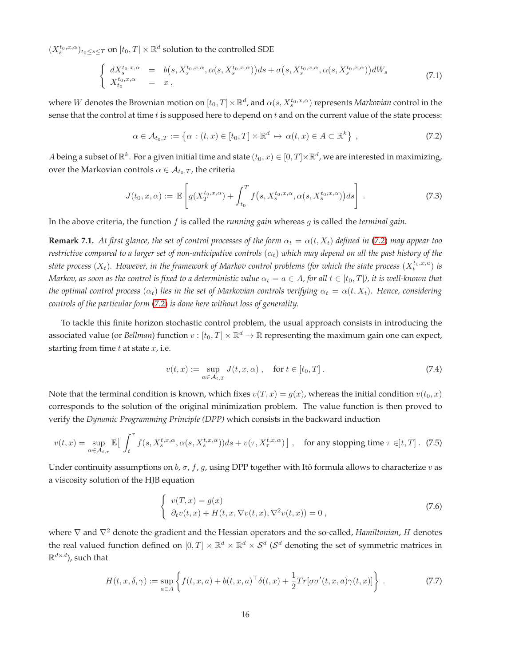$(X_s^{t_0,x,\alpha})_{t_0\leq s\leq T}$  on  $[t_0,T]\times \mathbb{R}^d$  solution to the controlled SDE

$$
\begin{cases}\n dX_s^{t_0,x,\alpha} = b(s, X_s^{t_0,x,\alpha}, \alpha(s, X_s^{t_0,x,\alpha}))ds + \sigma(s, X_s^{t_0,x,\alpha}, \alpha(s, X_s^{t_0,x,\alpha}))dW_s \\
 X_{t_0}^{t_0,x,\alpha} = x,\n\end{cases} \tag{7.1}
$$

where  $W$  denotes the Brownian motion on  $[t_0,T]\times\mathbb{R}^d$ , and  $\alpha(s,X_s^{t_0,x,\alpha})$  represents *Markovian* control in the sense that the control at time  $t$  is supposed here to depend on  $t$  and on the current value of the state process:

<span id="page-15-0"></span>
$$
\alpha \in \mathcal{A}_{t_0,T} := \left\{ \alpha : (t,x) \in [t_0,T] \times \mathbb{R}^d \mapsto \alpha(t,x) \in A \subset \mathbb{R}^k \right\},\tag{7.2}
$$

A being a subset of  $\mathbb{R}^k$ . For a given initial time and state  $(t_0, x) \in [0, T] \times \mathbb{R}^d$ , we are interested in maximizing, over the Markovian controls  $\alpha \in A_{t_0,T}$ , the criteria

$$
J(t_0, x, \alpha) := \mathbb{E}\left[g(X_T^{t_0, x, \alpha}) + \int_{t_0}^T f(s, X_s^{t_0, x, \alpha}, \alpha(s, X_s^{t_0, x, \alpha}))ds\right].
$$
 (7.3)

In the above criteria, the function f is called the *running gain* whereas g is called the *terminal gain*.

**Remark 7.1.** At first glance, the set of control processes of the form  $\alpha_t = \alpha(t, X_t)$  defined in [\(7.2\)](#page-15-0) may appear too *restrictive compared to a larger set of non-anticipative controls*  $(\alpha_t)$  *which may depend on all the past history of the* state process  $(X_t)$ . However, in the framework of Markov control problems (for which the state process  $(X_t^{t_0,x,a})$  is *Markov, as soon as the control is fixed to a deterministic value*  $\alpha_t = a \in A$ , for all  $t \in [t_0, T]$ , it is well-known that *the optimal control process*  $(\alpha_t)$  *lies in the set of Markovian controls verifying*  $\alpha_t = \alpha(t, X_t)$ *. Hence, considering controls of the particular form* [\(7.2\)](#page-15-0) *is done here without loss of generality.*

To tackle this finite horizon stochastic control problem, the usual approach consists in introducing the associated value (or *Bellman*) function  $v: [t_0, T] \times \mathbb{R}^d \to \mathbb{R}$  representing the maximum gain one can expect, starting from time  $t$  at state  $x$ , i.e.

<span id="page-15-3"></span>
$$
v(t,x) := \sup_{\alpha \in \mathcal{A}_{t,T}} J(t,x,\alpha) , \quad \text{for } t \in [t_0,T].
$$
 (7.4)

Note that the terminal condition is known, which fixes  $v(T, x) = g(x)$ , whereas the initial condition  $v(t_0, x)$ corresponds to the solution of the original minimization problem. The value function is then proved to verify the *Dynamic Programming Principle (DPP)* which consists in the backward induction

<span id="page-15-4"></span>
$$
v(t,x) = \sup_{\alpha \in \mathcal{A}_{t,\tau}} \mathbb{E}\big[\int_t^{\tau} f(s, X_s^{t,x,\alpha}, \alpha(s, X_s^{t,x,\alpha}))ds + v(\tau, X_{\tau}^{t,x,\alpha})\big], \quad \text{for any stopping time } \tau \in ]t,T]. \tag{7.5}
$$

Under continuity assumptions on  $b$ ,  $\sigma$ ,  $f$ ,  $g$ , using DPP together with Itô formula allows to characterize  $v$  as a viscosity solution of the HJB equation

<span id="page-15-1"></span>
$$
\begin{cases}\nv(T, x) = g(x) \\
\partial_t v(t, x) + H(t, x, \nabla v(t, x), \nabla^2 v(t, x)) = 0,\n\end{cases}
$$
\n(7.6)

where <sup>∇</sup> and <sup>∇</sup><sup>2</sup> denote the gradient and the Hessian operators and the so-called, *Hamiltonian*, <sup>H</sup> denotes the real valued function defined on  $[0,T]\times\mathbb{R}^d\times\mathbb{R}^d\times\mathcal{S}^d$  ( $\mathcal{S}^d$  denoting the set of symmetric matrices in  $\mathbb{R}^{d\times d}$ ), such that

<span id="page-15-2"></span>
$$
H(t, x, \delta, \gamma) := \sup_{a \in A} \left\{ f(t, x, a) + b(t, x, a)^\top \delta(t, x) + \frac{1}{2} Tr[\sigma \sigma'(t, x, a) \gamma(t, x)] \right\}.
$$
 (7.7)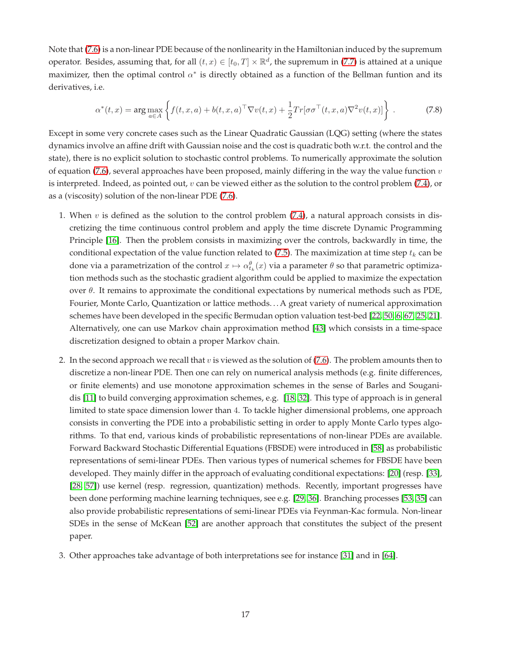Note that [\(7.6\)](#page-15-1) is a non-linear PDE because of the nonlinearity in the Hamiltonian induced by the supremum operator. Besides, assuming that, for all  $(t, x) \in [t_0, T] \times \mathbb{R}^d$ , the supremum in [\(7.7\)](#page-15-2) is attained at a unique maximizer, then the optimal control  $\alpha^*$  is directly obtained as a function of the Bellman funtion and its derivatives, i.e.

<span id="page-16-0"></span>
$$
\alpha^*(t,x) = \arg\max_{a \in A} \left\{ f(t,x,a) + b(t,x,a)^\top \nabla v(t,x) + \frac{1}{2} Tr[\sigma \sigma^\top(t,x,a) \nabla^2 v(t,x)] \right\}.
$$
 (7.8)

Except in some very concrete cases such as the Linear Quadratic Gaussian (LQG) setting (where the states dynamics involve an affine drift with Gaussian noise and the cost is quadratic both w.r.t. the control and the state), there is no explicit solution to stochastic control problems. To numerically approximate the solution of equation [\(7.6\)](#page-15-1), several approaches have been proposed, mainly differing in the way the value function  $v$ is interpreted. Indeed, as pointed out,  $v$  can be viewed either as the solution to the control problem [\(7.4\)](#page-15-3), or as a (viscosity) solution of the non-linear PDE [\(7.6\)](#page-15-1).

- 1. When  $v$  is defined as the solution to the control problem  $(7.4)$ , a natural approach consists in discretizing the time continuous control problem and apply the time discrete Dynamic Programming Principle [\[16\]](#page-18-13). Then the problem consists in maximizing over the controls, backwardly in time, the conditional expectation of the value function related to  $(7.5)$ . The maximization at time step  $t_k$  can be done via a parametrization of the control  $x \mapsto \alpha_{t_k}^{\theta}(x)$  via a parameter  $\theta$  so that parametric optimization methods such as the stochastic gradient algorithm could be applied to maximize the expectation over  $θ$ . It remains to approximate the conditional expectations by numerical methods such as PDE, Fourier, Monte Carlo, Quantization or lattice methods. . . A great variety of numerical approximation schemes have been developed in the specific Bermudan option valuation test-bed [\[22,](#page-19-6) [50,](#page-20-13) [6,](#page-18-14) [67,](#page-21-12) [25,](#page-19-7) [21\]](#page-19-8). Alternatively, one can use Markov chain approximation method [\[43\]](#page-20-14) which consists in a time-space discretization designed to obtain a proper Markov chain.
- 2. In the second approach we recall that  $v$  is viewed as the solution of [\(7.6\)](#page-15-1). The problem amounts then to discretize a non-linear PDE. Then one can rely on numerical analysis methods (e.g. finite differences, or finite elements) and use monotone approximation schemes in the sense of Barles and Souganidis [\[11\]](#page-18-15) to build converging approximation schemes, e.g. [\[18,](#page-18-16) [32\]](#page-19-9). This type of approach is in general limited to state space dimension lower than 4. To tackle higher dimensional problems, one approach consists in converting the PDE into a probabilistic setting in order to apply Monte Carlo types algorithms. To that end, various kinds of probabilistic representations of non-linear PDEs are available. Forward Backward Stochastic Differential Equations (FBSDE) were introduced in [\[58\]](#page-21-13) as probabilistic representations of semi-linear PDEs. Then various types of numerical schemes for FBSDE have been developed. They mainly differ in the approach of evaluating conditional expectations: [\[20\]](#page-19-10) (resp. [\[33\]](#page-19-11), [\[28,](#page-19-12) [57\]](#page-21-14)) use kernel (resp. regression, quantization) methods. Recently, important progresses have been done performing machine learning techniques, see e.g. [\[29,](#page-19-13) [36\]](#page-20-15). Branching processes [\[53,](#page-21-15) [35\]](#page-19-14) can also provide probabilistic representations of semi-linear PDEs via Feynman-Kac formula. Non-linear SDEs in the sense of McKean [\[52\]](#page-21-0) are another approach that constitutes the subject of the present paper.
- 3. Other approaches take advantage of both interpretations see for instance [\[31\]](#page-19-15) and in [\[64\]](#page-21-16).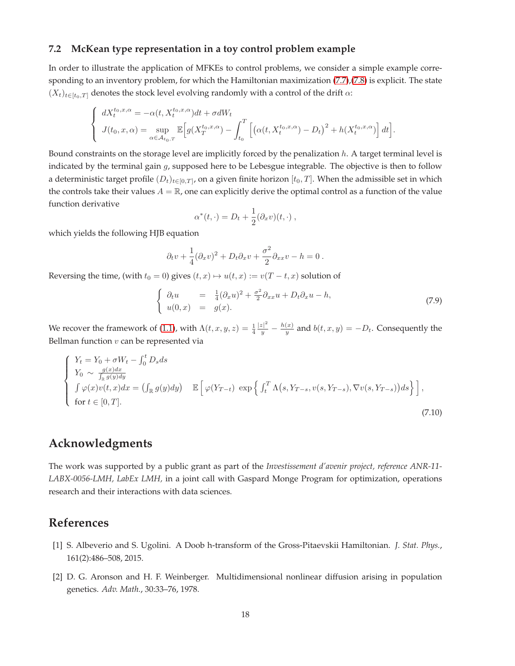#### **7.2 McKean type representation in a toy control problem example**

In order to illustrate the application of MFKEs to control problems, we consider a simple example corresponding to an inventory problem, for which the Hamiltonian maximization [\(7.7\)](#page-15-2),[\(7.8\)](#page-16-0) is explicit. The state  $(X_t)_{t\in[t_0,T]}$  denotes the stock level evolving randomly with a control of the drift  $\alpha$ :

$$
\begin{cases} dX_t^{t_0,x,\alpha} = -\alpha(t, X_t^{t_0,x,\alpha})dt + \sigma dW_t \\ J(t_0,x,\alpha) = \sup_{\alpha \in \mathcal{A}_{t_0,T}} \mathbb{E}\Big[g(X_T^{t_0,x,\alpha}) - \int_{t_0}^T \Big[\big(\alpha(t, X_t^{t_0,x,\alpha}) - D_t\big)^2 + h(X_t^{t_0,x,\alpha})\Big] dt\Big]. \end{cases}
$$

Bound constraints on the storage level are implicitly forced by the penalization h. A target terminal level is indicated by the terminal gain  $g$ , supposed here to be Lebesgue integrable. The objective is then to follow a deterministic target profile  $(D_t)_{t\in[0,T]}$ , on a given finite horizon  $[t_0,T].$  When the admissible set in which the controls take their values  $A = \mathbb{R}$ , one can explicitly derive the optimal control as a function of the value function derivative

$$
\alpha^*(t,\cdot) = D_t + \frac{1}{2}(\partial_x v)(t,\cdot) ,
$$

which yields the following HJB equation

$$
\partial_t v + \frac{1}{4} (\partial_x v)^2 + D_t \partial_x v + \frac{\sigma^2}{2} \partial_{xx} v - h = 0.
$$

Reversing the time, (with  $t_0 = 0$ ) gives  $(t, x) \mapsto u(t, x) := v(T - t, x)$  solution of

$$
\begin{cases}\n\partial_t u = \frac{1}{4} (\partial_x u)^2 + \frac{\sigma^2}{2} \partial_{xx} u + D_t \partial_x u - h, \\
u(0, x) = g(x).\n\end{cases}
$$
\n(7.9)

We recover the framework of [\(1.1\)](#page-1-0), with  $\Lambda(t, x, y, z) = \frac{1}{4}$  $|z|^2$  $\frac{|z|^2}{y} - \frac{h(x)}{y}$  $y_y^{(x)}$  and  $b(t, x, y) = -D_t$ . Consequently the Bellman function  $v$  can be represented via

$$
\begin{cases}\nY_t = Y_0 + \sigma W_t - \int_0^t D_s ds \\
Y_0 \sim \frac{g(x)dx}{\int_{\mathbb{R}} g(y)dy} \\
\int \varphi(x)v(t, x)dx = \left(\int_{\mathbb{R}} g(y)dy\right) & \mathbb{E}\left[\varphi(Y_{T-t}) \exp\left\{\int_t^T \Lambda(s, Y_{T-s}, v(s, Y_{T-s}), \nabla v(s, Y_{T-s}))ds\right\}\right], \\
\text{for } t \in [0, T].\n\end{cases}
$$
\n(7.10)

## **Acknowledgments**

The work was supported by a public grant as part of the *Investissement d'avenir project, reference ANR-11- LABX-0056-LMH, LabEx LMH,* in a joint call with Gaspard Monge Program for optimization, operations research and their interactions with data sciences.

### <span id="page-17-0"></span>**References**

- <span id="page-17-1"></span>[1] S. Albeverio and S. Ugolini. A Doob h-transform of the Gross-Pitaevskii Hamiltonian. *J. Stat. Phys.*, 161(2):486–508, 2015.
- [2] D. G. Aronson and H. F. Weinberger. Multidimensional nonlinear diffusion arising in population genetics. *Adv. Math.*, 30:33–76, 1978.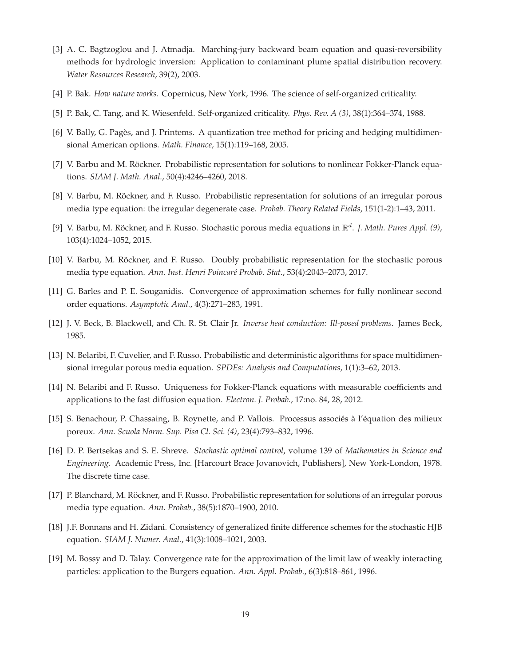- <span id="page-18-2"></span>[3] A. C. Bagtzoglou and J. Atmadja. Marching-jury backward beam equation and quasi-reversibility methods for hydrologic inversion: Application to contaminant plume spatial distribution recovery. *Water Resources Research*, 39(2), 2003.
- <span id="page-18-4"></span><span id="page-18-3"></span>[4] P. Bak. *How nature works*. Copernicus, New York, 1996. The science of self-organized criticality.
- <span id="page-18-14"></span>[5] P. Bak, C. Tang, and K. Wiesenfeld. Self-organized criticality. *Phys. Rev. A (3)*, 38(1):364–374, 1988.
- <span id="page-18-10"></span>[6] V. Bally, G. Pagès, and J. Printems. A quantization tree method for pricing and hedging multidimensional American options. *Math. Finance*, 15(1):119–168, 2005.
- <span id="page-18-7"></span>[7] V. Barbu and M. Röckner. Probabilistic representation for solutions to nonlinear Fokker-Planck equations. *SIAM J. Math. Anal.*, 50(4):4246–4260, 2018.
- <span id="page-18-12"></span>[8] V. Barbu, M. Röckner, and F. Russo. Probabilistic representation for solutions of an irregular porous media type equation: the irregular degenerate case. *Probab. Theory Related Fields*, 151(1-2):1–43, 2011.
- <span id="page-18-11"></span>[9] V. Barbu, M. Röckner, and F. Russo. Stochastic porous media equations in  $\mathbb{R}^d$ . J. Math. Pures Appl. (9), 103(4):1024–1052, 2015.
- <span id="page-18-15"></span>[10] V. Barbu, M. Röckner, and F. Russo. Doubly probabilistic representation for the stochastic porous media type equation. *Ann. Inst. Henri Poincaré Probab. Stat.*, 53(4):2043–2073, 2017.
- <span id="page-18-1"></span>[11] G. Barles and P. E. Souganidis. Convergence of approximation schemes for fully nonlinear second order equations. *Asymptotic Anal.*, 4(3):271–283, 1991.
- <span id="page-18-9"></span>[12] J. V. Beck, B. Blackwell, and Ch. R. St. Clair Jr. *Inverse heat conduction: Ill-posed problems*. James Beck, 1985.
- <span id="page-18-8"></span>[13] N. Belaribi, F. Cuvelier, and F. Russo. Probabilistic and deterministic algorithms for space multidimensional irregular porous media equation. *SPDEs: Analysis and Computations*, 1(1):3–62, 2013.
- <span id="page-18-5"></span>[14] N. Belaribi and F. Russo. Uniqueness for Fokker-Planck equations with measurable coefficients and applications to the fast diffusion equation. *Electron. J. Probab.*, 17:no. 84, 28, 2012.
- <span id="page-18-13"></span>[15] S. Benachour, P. Chassaing, B. Roynette, and P. Vallois. Processus associés à l'équation des milieux poreux. *Ann. Scuola Norm. Sup. Pisa Cl. Sci. (4)*, 23(4):793–832, 1996.
- [16] D. P. Bertsekas and S. E. Shreve. *Stochastic optimal control*, volume 139 of *Mathematics in Science and Engineering*. Academic Press, Inc. [Harcourt Brace Jovanovich, Publishers], New York-London, 1978. The discrete time case.
- <span id="page-18-16"></span><span id="page-18-6"></span>[17] P. Blanchard, M. Röckner, and F. Russo. Probabilistic representation for solutions of an irregular porous media type equation. *Ann. Probab.*, 38(5):1870–1900, 2010.
- <span id="page-18-0"></span>[18] J.F. Bonnans and H. Zidani. Consistency of generalized finite difference schemes for the stochastic HJB equation. *SIAM J. Numer. Anal.*, 41(3):1008–1021, 2003.
- [19] M. Bossy and D. Talay. Convergence rate for the approximation of the limit law of weakly interacting particles: application to the Burgers equation. *Ann. Appl. Probab.*, 6(3):818–861, 1996.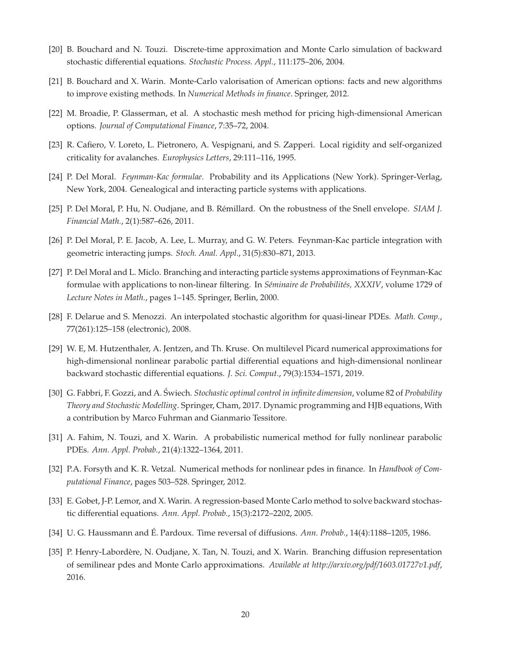- <span id="page-19-10"></span><span id="page-19-8"></span>[20] B. Bouchard and N. Touzi. Discrete-time approximation and Monte Carlo simulation of backward stochastic differential equations. *Stochastic Process. Appl.*, 111:175–206, 2004.
- <span id="page-19-6"></span>[21] B. Bouchard and X. Warin. Monte-Carlo valorisation of American options: facts and new algorithms to improve existing methods. In *Numerical Methods in finance*. Springer, 2012.
- <span id="page-19-0"></span>[22] M. Broadie, P. Glasserman, et al. A stochastic mesh method for pricing high-dimensional American options. *Journal of Computational Finance*, 7:35–72, 2004.
- <span id="page-19-3"></span>[23] R. Cafiero, V. Loreto, L. Pietronero, A. Vespignani, and S. Zapperi. Local rigidity and self-organized criticality for avalanches. *Europhysics Letters*, 29:111–116, 1995.
- <span id="page-19-7"></span>[24] P. Del Moral. *Feynman-Kac formulae*. Probability and its Applications (New York). Springer-Verlag, New York, 2004. Genealogical and interacting particle systems with applications.
- <span id="page-19-4"></span>[25] P. Del Moral, P. Hu, N. Oudjane, and B. Rémillard. On the robustness of the Snell envelope. *SIAM J. Financial Math.*, 2(1):587–626, 2011.
- <span id="page-19-2"></span>[26] P. Del Moral, P. E. Jacob, A. Lee, L. Murray, and G. W. Peters. Feynman-Kac particle integration with geometric interacting jumps. *Stoch. Anal. Appl.*, 31(5):830–871, 2013.
- [27] P. Del Moral and L. Miclo. Branching and interacting particle systems approximations of Feynman-Kac formulae with applications to non-linear filtering. In *Séminaire de Probabilités, XXXIV*, volume 1729 of *Lecture Notes in Math.*, pages 1–145. Springer, Berlin, 2000.
- <span id="page-19-13"></span><span id="page-19-12"></span>[28] F. Delarue and S. Menozzi. An interpolated stochastic algorithm for quasi-linear PDEs. *Math. Comp.*, 77(261):125–158 (electronic), 2008.
- [29] W. E, M. Hutzenthaler, A. Jentzen, and Th. Kruse. On multilevel Picard numerical approximations for high-dimensional nonlinear parabolic partial differential equations and high-dimensional nonlinear backward stochastic differential equations. *J. Sci. Comput.*, 79(3):1534–1571, 2019.
- <span id="page-19-5"></span>[30] G. Fabbri, F. Gozzi, and A. Świech. *Stochastic optimal control in infinite dimension*, volume 82 of *Probability Theory and Stochastic Modelling*. Springer, Cham, 2017. Dynamic programming and HJB equations, With a contribution by Marco Fuhrman and Gianmario Tessitore.
- <span id="page-19-15"></span><span id="page-19-9"></span>[31] A. Fahim, N. Touzi, and X. Warin. A probabilistic numerical method for fully nonlinear parabolic PDEs. *Ann. Appl. Probab.*, 21(4):1322–1364, 2011.
- <span id="page-19-11"></span>[32] P.A. Forsyth and K. R. Vetzal. Numerical methods for nonlinear pdes in finance. In *Handbook of Computational Finance*, pages 503–528. Springer, 2012.
- <span id="page-19-1"></span>[33] E. Gobet, J-P. Lemor, and X. Warin. A regression-based Monte Carlo method to solve backward stochastic differential equations. *Ann. Appl. Probab.*, 15(3):2172–2202, 2005.
- <span id="page-19-14"></span>[34] U. G. Haussmann and É. Pardoux. Time reversal of diffusions. *Ann. Probab.*, 14(4):1188–1205, 1986.
- [35] P. Henry-Labordère, N. Oudjane, X. Tan, N. Touzi, and X. Warin. Branching diffusion representation of semilinear pdes and Monte Carlo approximations. *Available at http://arxiv.org/pdf/1603.01727v1.pdf*, 2016.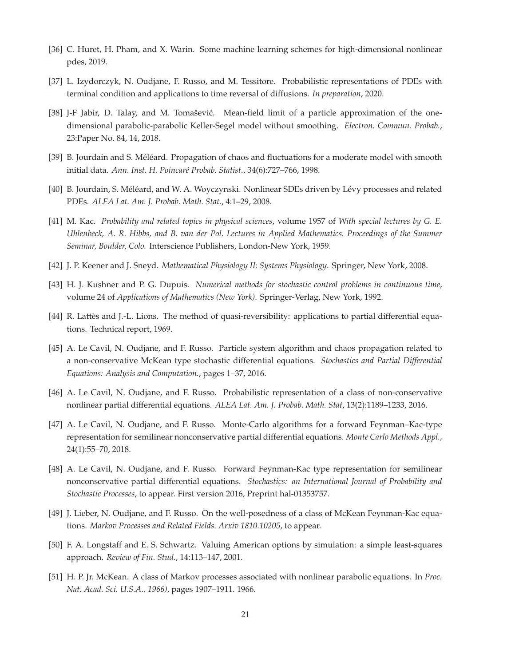- <span id="page-20-15"></span><span id="page-20-11"></span>[36] C. Huret, H. Pham, and X. Warin. Some machine learning schemes for high-dimensional nonlinear pdes, 2019.
- <span id="page-20-8"></span>[37] L. Izydorczyk, N. Oudjane, F. Russo, and M. Tessitore. Probabilistic representations of PDEs with terminal condition and applications to time reversal of diffusions. *In preparation*, 2020.
- [38] J-F Jabir, D. Talay, and M. Tomašević. Mean-field limit of a particle approximation of the onedimensional parabolic-parabolic Keller-Segel model without smoothing. *Electron. Commun. Probab.*, 23:Paper No. 84, 14, 2018.
- <span id="page-20-12"></span><span id="page-20-4"></span>[39] B. Jourdain and S. Méléard. Propagation of chaos and fluctuations for a moderate model with smooth initial data. *Ann. Inst. H. Poincaré Probab. Statist.*, 34(6):727–766, 1998.
- <span id="page-20-0"></span>[40] B. Jourdain, S. Méléard, and W. A. Woyczynski. Nonlinear SDEs driven by Lévy processes and related PDEs. *ALEA Lat. Am. J. Probab. Math. Stat.*, 4:1–29, 2008.
- [41] M. Kac. *Probability and related topics in physical sciences*, volume 1957 of *With special lectures by G. E. Uhlenbeck, A. R. Hibbs, and B. van der Pol. Lectures in Applied Mathematics. Proceedings of the Summer Seminar, Boulder, Colo.* Interscience Publishers, London-New York, 1959.
- <span id="page-20-14"></span><span id="page-20-2"></span>[42] J. P. Keener and J. Sneyd. *Mathematical Physiology II: Systems Physiology*. Springer, New York, 2008.
- <span id="page-20-3"></span>[43] H. J. Kushner and P. G. Dupuis. *Numerical methods for stochastic control problems in continuous time*, volume 24 of *Applications of Mathematics (New York)*. Springer-Verlag, New York, 1992.
- <span id="page-20-6"></span>[44] R. Lattès and J.-L. Lions. The method of quasi-reversibility: applications to partial differential equations. Technical report, 1969.
- [45] A. Le Cavil, N. Oudjane, and F. Russo. Particle system algorithm and chaos propagation related to a non-conservative McKean type stochastic differential equations. *Stochastics and Partial Differential Equations: Analysis and Computation.*, pages 1–37, 2016.
- <span id="page-20-7"></span><span id="page-20-5"></span>[46] A. Le Cavil, N. Oudjane, and F. Russo. Probabilistic representation of a class of non-conservative nonlinear partial differential equations. *ALEA Lat. Am. J. Probab. Math. Stat*, 13(2):1189–1233, 2016.
- [47] A. Le Cavil, N. Oudjane, and F. Russo. Monte-Carlo algorithms for a forward Feynman–Kac-type representation for semilinear nonconservative partial differential equations. *Monte Carlo Methods Appl.*, 24(1):55–70, 2018.
- <span id="page-20-9"></span>[48] A. Le Cavil, N. Oudjane, and F. Russo. Forward Feynman-Kac type representation for semilinear nonconservative partial differential equations. *Stochastics: an International Journal of Probability and Stochastic Processes*, to appear. First version 2016, Preprint hal-01353757.
- <span id="page-20-13"></span><span id="page-20-10"></span>[49] J. Lieber, N. Oudjane, and F. Russo. On the well-posedness of a class of McKean Feynman-Kac equations. *Markov Processes and Related Fields. Arxiv 1810.10205*, to appear.
- <span id="page-20-1"></span>[50] F. A. Longstaff and E. S. Schwartz. Valuing American options by simulation: a simple least-squares approach. *Review of Fin. Stud.*, 14:113–147, 2001.
- [51] H. P. Jr. McKean. A class of Markov processes associated with nonlinear parabolic equations. In *Proc. Nat. Acad. Sci. U.S.A., 1966)*, pages 1907–1911. 1966.